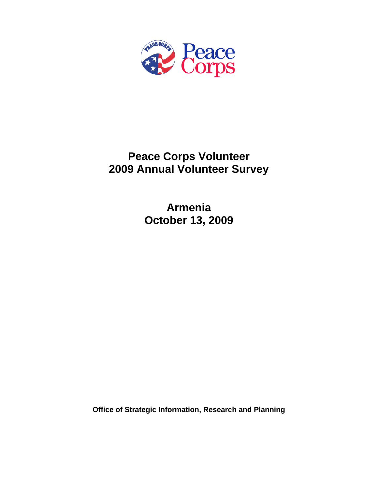

# **Peace Corps Volunteer 2009 Annual Volunteer Survey**

**Armenia October 13, 2009** 

**Office of Strategic Information, Research and Planning**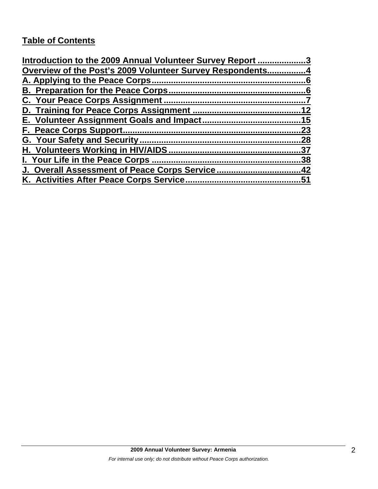# **Table of Contents**

| Introduction to the 2009 Annual Volunteer Survey Report 3 |     |
|-----------------------------------------------------------|-----|
| Overview of the Post's 2009 Volunteer Survey Respondents4 |     |
|                                                           |     |
|                                                           |     |
|                                                           |     |
|                                                           | 12  |
|                                                           |     |
|                                                           | 23  |
|                                                           | .28 |
|                                                           | .37 |
| I. Your Life in the Peace Corps.                          | .38 |
| J. Overall Assessment of Peace Corps Service42            |     |
| K. Activities After Peace Corps Service                   | 51  |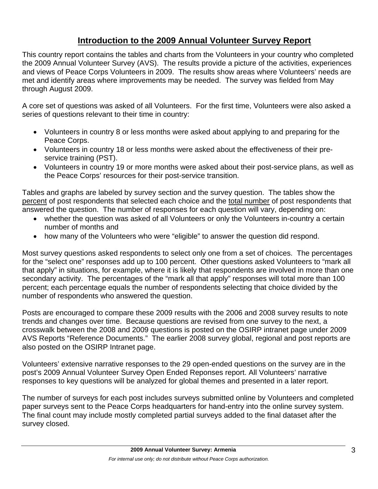# **Introduction to the 2009 Annual Volunteer Survey Report**

This country report contains the tables and charts from the Volunteers in your country who completed the 2009 Annual Volunteer Survey (AVS). The results provide a picture of the activities, experiences and views of Peace Corps Volunteers in 2009. The results show areas where Volunteers' needs are met and identify areas where improvements may be needed. The survey was fielded from May through August 2009.

A core set of questions was asked of all Volunteers. For the first time, Volunteers were also asked a series of questions relevant to their time in country:

- Volunteers in country 8 or less months were asked about applying to and preparing for the Peace Corps.
- Volunteers in country 18 or less months were asked about the effectiveness of their preservice training (PST).
- Volunteers in country 19 or more months were asked about their post-service plans, as well as the Peace Corps' resources for their post-service transition.

Tables and graphs are labeled by survey section and the survey question. The tables show the percent of post respondents that selected each choice and the total number of post respondents that answered the question. The number of responses for each question will vary, depending on:

- whether the question was asked of all Volunteers or only the Volunteers in-country a certain number of months and
- how many of the Volunteers who were "eligible" to answer the question did respond.

Most survey questions asked respondents to select only one from a set of choices. The percentages for the "select one" responses add up to 100 percent. Other questions asked Volunteers to "mark all that apply" in situations, for example, where it is likely that respondents are involved in more than one secondary activity. The percentages of the "mark all that apply" responses will total more than 100 percent; each percentage equals the number of respondents selecting that choice divided by the number of respondents who answered the question.

Posts are encouraged to compare these 2009 results with the 2006 and 2008 survey results to note trends and changes over time. Because questions are revised from one survey to the next, a crosswalk between the 2008 and 2009 questions is posted on the OSIRP intranet page under 2009 AVS Reports "Reference Documents." The earlier 2008 survey global, regional and post reports are also posted on the OSIRP Intranet page.

Volunteers' extensive narrative responses to the 29 open-ended questions on the survey are in the post's 2009 Annual Volunteer Survey Open Ended Reponses report. All Volunteers' narrative responses to key questions will be analyzed for global themes and presented in a later report.

The number of surveys for each post includes surveys submitted online by Volunteers and completed paper surveys sent to the Peace Corps headquarters for hand-entry into the online survey system. The final count may include mostly completed partial surveys added to the final dataset after the survey closed.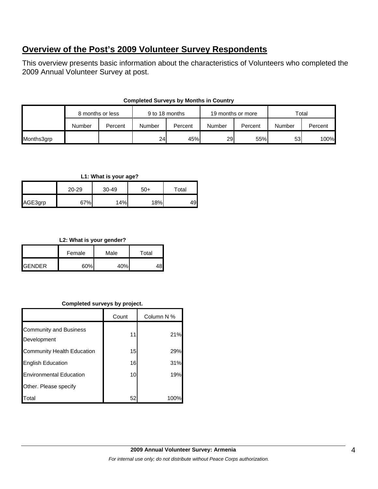# **Overview of the Post's 2009 Volunteer Survey Respondents**

This overview presents basic information about the characteristics of Volunteers who completed the 2009 Annual Volunteer Survey at post.

| <b>Completed Surveys by Months in Country</b> |  |
|-----------------------------------------------|--|
|-----------------------------------------------|--|

|            | 8 months or less |         | 9 to 18 months |         | 19 months or more |         | Total           |         |
|------------|------------------|---------|----------------|---------|-------------------|---------|-----------------|---------|
|            | Number           | Percent | Number         | Percent | Number            | Percent | Number          | Percent |
| Months3grp |                  |         | 24             | 45%     | <b>29</b>         | 55%     | 53 <sub>l</sub> | 100%    |

### **L1: What is your age?**

|         | 20-29 | 30-49 | $50+$ | Total |  |
|---------|-------|-------|-------|-------|--|
| AGE3grp | 67%   | 14%   | 18%   | 49    |  |

# **L2: What is your gender?**

|                 | Female | Male | Total |  |
|-----------------|--------|------|-------|--|
| <b>I</b> GENDER | 60%    | 40%  |       |  |

# **Completed surveys by project.**

|                                              | Count | Column N % |
|----------------------------------------------|-------|------------|
| <b>Community and Business</b><br>Development | 11    | 21%        |
| Community Health Education                   | 15    | 29%        |
| <b>English Education</b>                     | 16    | 31%        |
| <b>Environmental Education</b>               | 10    | 19%        |
| Other. Please specify                        |       |            |
| Total                                        | 52    | 100        |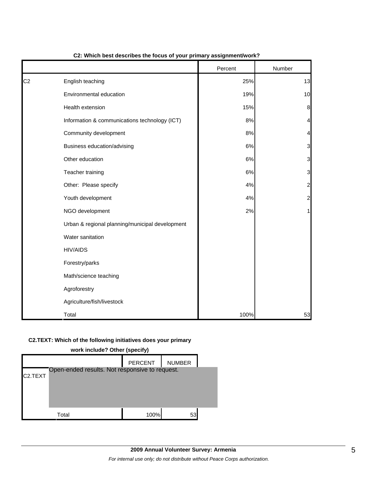|                |                                                 | Percent | Number         |
|----------------|-------------------------------------------------|---------|----------------|
| C <sub>2</sub> | English teaching                                | 25%     | 13             |
|                | Environmental education                         | 19%     | 10             |
|                | Health extension                                | 15%     | $\bf{8}$       |
|                | Information & communications technology (ICT)   | 8%      | 4              |
|                | Community development                           | 8%      | 4              |
|                | Business education/advising                     | 6%      | 3              |
|                | Other education                                 | 6%      | 3              |
|                | Teacher training                                | 6%      | 3              |
|                | Other: Please specify                           | 4%      | $\overline{a}$ |
|                | Youth development                               | 4%      | $\overline{a}$ |
|                | NGO development                                 | 2%      | 1              |
|                | Urban & regional planning/municipal development |         |                |
|                | Water sanitation                                |         |                |
|                | <b>HIV/AIDS</b>                                 |         |                |
|                | Forestry/parks                                  |         |                |
|                | Math/science teaching                           |         |                |
|                | Agroforestry                                    |         |                |
|                | Agriculture/fish/livestock                      |         |                |
|                | Total                                           | 100%    | 53             |

### **C2: Which best describes the focus of your primary assignment/work?**

### **C2.TEXT: Which of the following initiatives does your primary**

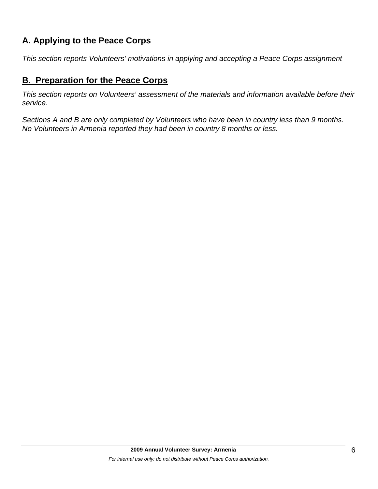# **A. Applying to the Peace Corps**

*This section reports Volunteers' motivations in applying and accepting a Peace Corps assignment* 

# **B. Preparation for the Peace Corps**

*This section reports on Volunteers' assessment of the materials and information available before their service.* 

*Sections A and B are only completed by Volunteers who have been in country less than 9 months. No Volunteers in Armenia reported they had been in country 8 months or less.*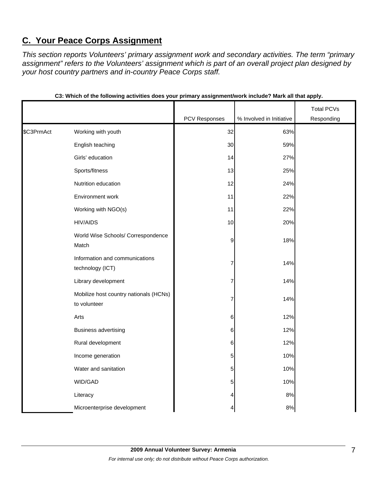# **C. Your Peace Corps Assignment**

*This section reports Volunteers' primary assignment work and secondary activities. The term "primary assignment" refers to the Volunteers' assignment which is part of an overall project plan designed by your host country partners and in-country Peace Corps staff.* 

|            |                                                        |               |                          | <b>Total PCVs</b> |
|------------|--------------------------------------------------------|---------------|--------------------------|-------------------|
|            |                                                        | PCV Responses | % Involved in Initiative | Responding        |
| \$C3PrmAct | Working with youth                                     | 32            | 63%                      |                   |
|            | English teaching                                       | 30            | 59%                      |                   |
|            | Girls' education                                       | 14            | 27%                      |                   |
|            | Sports/fitness                                         | 13            | 25%                      |                   |
|            | Nutrition education                                    | 12            | 24%                      |                   |
|            | Environment work                                       | 11            | 22%                      |                   |
|            | Working with NGO(s)                                    | 11            | 22%                      |                   |
|            | <b>HIV/AIDS</b>                                        | 10            | 20%                      |                   |
|            | World Wise Schools/ Correspondence<br>Match            | 9             | 18%                      |                   |
|            | Information and communications<br>technology (ICT)     | 7             | 14%                      |                   |
|            | Library development                                    | 7             | 14%                      |                   |
|            | Mobilize host country nationals (HCNs)<br>to volunteer | 7             | 14%                      |                   |
|            | Arts                                                   | 6             | 12%                      |                   |
|            | <b>Business advertising</b>                            | 6             | 12%                      |                   |
|            | Rural development                                      | 6             | 12%                      |                   |
|            | Income generation                                      | 5             | 10%                      |                   |
|            | Water and sanitation                                   | 5             | 10%                      |                   |
|            | WID/GAD                                                | 5             | 10%                      |                   |
|            | Literacy                                               | 4             | 8%                       |                   |
|            | Microenterprise development                            | 4             | $8\%$                    |                   |

| C3: Which of the following activities does your primary assignment/work include? Mark all that apply. |  |  |
|-------------------------------------------------------------------------------------------------------|--|--|
|                                                                                                       |  |  |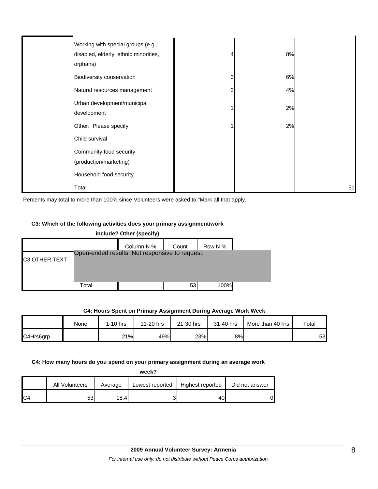| Working with special groups (e.g.,<br>disabled, elderly, ethnic minorities,<br>orphans) |   | 8% |    |
|-----------------------------------------------------------------------------------------|---|----|----|
| Biodiversity conservation                                                               | 3 | 6% |    |
| Natural resources management                                                            |   | 4% |    |
| Urban development/municipal<br>development                                              |   | 2% |    |
| Other: Please specify                                                                   |   | 2% |    |
| Child survival                                                                          |   |    |    |
| Community food security                                                                 |   |    |    |
| (production/marketing)                                                                  |   |    |    |
| Household food security                                                                 |   |    |    |
| Total                                                                                   |   |    | 51 |

Percents may total to more than 100% since Volunteers were asked to "Mark all that apply."

#### **C3: Which of the following activities does your primary assignment/work**



|           | None | $1-10$ hrs | 11-20 hrs | 21-30 hrs | 31-40 hrs | More than 40 hrs | Total |
|-----------|------|------------|-----------|-----------|-----------|------------------|-------|
| C4Hrs6grp |      | 21%        | 49%       | 23%       | 8%I       |                  | 53    |

### **C4: Hours Spent on Primary Assignment During Average Work Week**

#### **C4: How many hours do you spend on your primary assignment during an average work**

|                | All Volunteers | Average | Lowest reported | Highest reported | Did not answer |
|----------------|----------------|---------|-----------------|------------------|----------------|
| C <sub>4</sub> | 53             | 18.41   |                 | 4υ               | D              |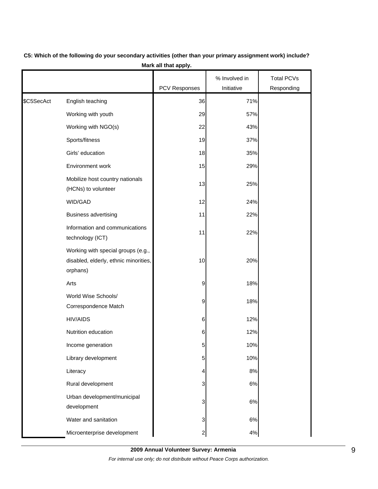|            |                                                                                         |                         | % Involved in | <b>Total PCVs</b> |
|------------|-----------------------------------------------------------------------------------------|-------------------------|---------------|-------------------|
|            |                                                                                         | PCV Responses           | Initiative    | Responding        |
| \$C5SecAct | English teaching                                                                        | 36                      | 71%           |                   |
|            | Working with youth                                                                      | 29                      | 57%           |                   |
|            | Working with NGO(s)                                                                     | 22                      | 43%           |                   |
|            | Sports/fitness                                                                          | 19                      | 37%           |                   |
|            | Girls' education                                                                        | 18                      | 35%           |                   |
|            | Environment work                                                                        | 15                      | 29%           |                   |
|            | Mobilize host country nationals<br>(HCNs) to volunteer                                  | 13                      | 25%           |                   |
|            | WID/GAD                                                                                 | 12                      | 24%           |                   |
|            | <b>Business advertising</b>                                                             | 11                      | 22%           |                   |
|            | Information and communications<br>technology (ICT)                                      | 11                      | 22%           |                   |
|            | Working with special groups (e.g.,<br>disabled, elderly, ethnic minorities,<br>orphans) | 10                      | 20%           |                   |
|            | Arts                                                                                    | 9                       | 18%           |                   |
|            | World Wise Schools/<br>Correspondence Match                                             | 9                       | 18%           |                   |
|            | <b>HIV/AIDS</b>                                                                         | 6                       | 12%           |                   |
|            | Nutrition education                                                                     | 6                       | 12%           |                   |
|            | Income generation                                                                       | 5                       | 10%           |                   |
|            | Library development                                                                     | 5                       | 10%           |                   |
|            | Literacy                                                                                | 4                       | 8%            |                   |
|            | Rural development                                                                       | 3                       | $6\%$         |                   |
|            | Urban development/municipal<br>development                                              | 3                       | $6\%$         |                   |
|            | Water and sanitation                                                                    | 3                       | 6%            |                   |
|            | Microenterprise development                                                             | $\overline{\mathbf{c}}$ | $4%$          |                   |

# **C5: Which of the following do your secondary activities (other than your primary assignment work) include? Mark all that apply.**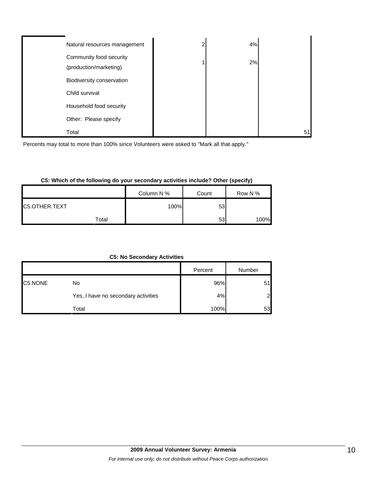| Natural resources management                      | ◠ | 4% |    |
|---------------------------------------------------|---|----|----|
| Community food security<br>(production/marketing) |   | 2% |    |
| Biodiversity conservation                         |   |    |    |
| Child survival                                    |   |    |    |
| Household food security                           |   |    |    |
| Other: Please specify                             |   |    |    |
| Total                                             |   |    | 51 |

Percents may total to more than 100% since Volunteers were asked to "Mark all that apply."

# **C5: Which of the following do your secondary activities include? Other (specify)**

|               |       | Column N % | Count | Row N % |
|---------------|-------|------------|-------|---------|
| C5.OTHER.TEXT |       | 100%       | 53    |         |
|               | Total |            | 53    | 100%    |

| <b>C5: No Secondary Activities</b> |  |  |  |  |
|------------------------------------|--|--|--|--|
|------------------------------------|--|--|--|--|

|         |                                     | Percent | Number         |
|---------|-------------------------------------|---------|----------------|
| C5.NONE | No                                  | 96%     | 51             |
|         | Yes, I have no secondary activities | 4%      | 2 <sub>l</sub> |
|         | Total                               | 100%    | 53             |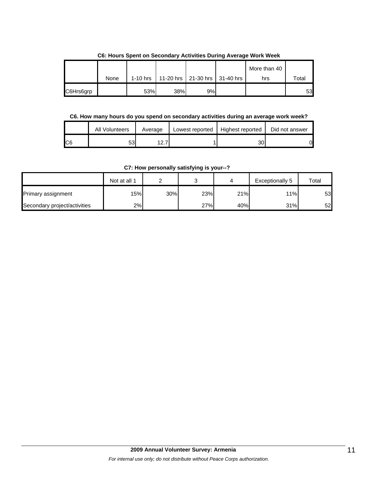|           |      |            |     |                               | More than 40 |       |
|-----------|------|------------|-----|-------------------------------|--------------|-------|
|           | None | $1-10$ hrs |     | 11-20 hrs 21-30 hrs 31-40 hrs | hrs          | Total |
| C6Hrs6grp |      | 53%        | 38% | 9%                            |              | 53    |

**C6: Hours Spent on Secondary Activities During Average Work Week**

# **C6. How many hours do you spend on secondary activities during an average work week?**

|     | All Volunteers | Average | Lowest reported | Highest reported | Did not answer |
|-----|----------------|---------|-----------------|------------------|----------------|
| IC6 | 53             | $\sim$  |                 | 30               |                |

**C7: How personally satisfying is your--?**

|                              | Not at all 1 |     |     |     | Exceptionally 5 | Total |
|------------------------------|--------------|-----|-----|-----|-----------------|-------|
| Primary assignment           | 15%          | 30% | 23% | 21% | 11%             | 53    |
| Secondary project/activities | 2%           |     | 27% | 40% | 31%             | 52    |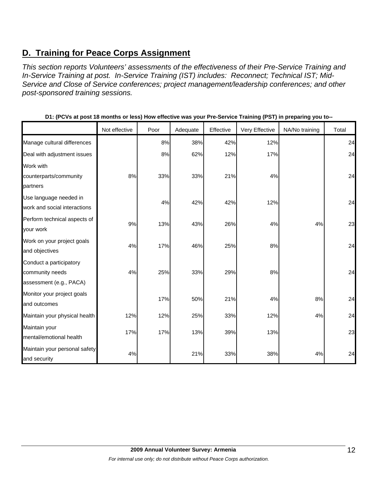# **D. Training for Peace Corps Assignment**

*This section reports Volunteers' assessments of the effectiveness of their Pre-Service Training and In-Service Training at post. In-Service Training (IST) includes: Reconnect; Technical IST; Mid-Service and Close of Service conferences; project management/leadership conferences; and other post-sponsored training sessions.* 

|                               | Not effective | Poor | Adequate | Effective | Very Effective | NA/No training | Total |
|-------------------------------|---------------|------|----------|-----------|----------------|----------------|-------|
| Manage cultural differences   |               | 8%   | 38%      | 42%       | 12%            |                | 24    |
| Deal with adjustment issues   |               | 8%   | 62%      | 12%       | 17%            |                | 24    |
| Work with                     |               |      |          |           |                |                |       |
| counterparts/community        | 8%            | 33%  | 33%      | 21%       | 4%             |                | 24    |
| partners                      |               |      |          |           |                |                |       |
| Use language needed in        |               | 4%   | 42%      | 42%       | 12%            |                | 24    |
| work and social interactions  |               |      |          |           |                |                |       |
| Perform technical aspects of  | 9%            | 13%  | 43%      | 26%       | 4%             | 4%             | 23    |
| your work                     |               |      |          |           |                |                |       |
| Work on your project goals    | 4%            | 17%  | 46%      | 25%       | 8%             |                | 24    |
| and objectives                |               |      |          |           |                |                |       |
| Conduct a participatory       |               |      |          |           |                |                |       |
| community needs               | 4%            | 25%  | 33%      | 29%       | 8%             |                | 24    |
| assessment (e.g., PACA)       |               |      |          |           |                |                |       |
| Monitor your project goals    |               | 17%  | 50%      | 21%       | 4%             | 8%             | 24    |
| and outcomes                  |               |      |          |           |                |                |       |
| Maintain your physical health | 12%           | 12%  | 25%      | 33%       | 12%            | 4%             | 24    |
| Maintain your                 |               |      |          |           |                |                |       |
| mental/emotional health       | 17%           | 17%  | 13%      | 39%       | 13%            |                | 23    |
| Maintain your personal safety |               |      |          |           |                |                |       |
| and security                  | 4%            |      | 21%      | 33%       | 38%            | 4%             | 24    |

|  |  |  |  |  | D1: (PCVs at post 18 months or less) How effective was your Pre-Service Training (PST) in preparing you to-- |  |
|--|--|--|--|--|--------------------------------------------------------------------------------------------------------------|--|
|  |  |  |  |  |                                                                                                              |  |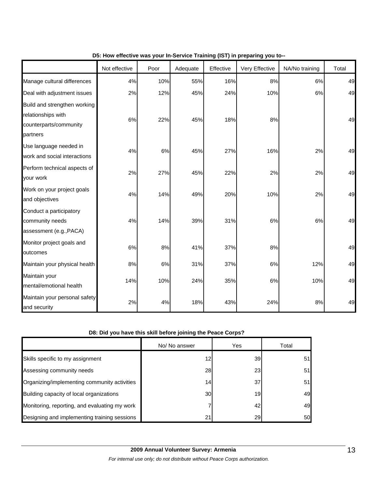|                                                                                          | Not effective | Poor  | Adequate | Effective | Very Effective | NA/No training | Total |
|------------------------------------------------------------------------------------------|---------------|-------|----------|-----------|----------------|----------------|-------|
| Manage cultural differences                                                              | 4%            | 10%   | 55%      | 16%       | 8%             | 6%             | 49    |
| Deal with adjustment issues                                                              | 2%            | 12%   | 45%      | 24%       | 10%            | 6%             | 49    |
| Build and strengthen working<br>relationships with<br>counterparts/community<br>partners | 6%            | 22%   | 45%      | 18%       | 8%             |                | 49    |
| Use language needed in<br>work and social interactions                                   | 4%            | $6\%$ | 45%      | 27%       | 16%            | 2%             | 49    |
| Perform technical aspects of<br>your work                                                | 2%            | 27%   | 45%      | 22%       | 2%             | 2%             | 49    |
| Work on your project goals<br>and objectives                                             | 4%            | 14%   | 49%      | 20%       | 10%            | 2%             | 49    |
| Conduct a participatory<br>community needs<br>assessment (e.g., PACA)                    | 4%            | 14%   | 39%      | 31%       | 6%             | 6%             | 49    |
| Monitor project goals and<br>outcomes                                                    | 6%            | 8%    | 41%      | 37%       | 8%             |                | 49    |
| Maintain your physical health                                                            | 8%            | 6%    | 31%      | 37%       | 6%             | 12%            | 49    |
| Maintain your<br>mental/emotional health                                                 | 14%           | 10%   | 24%      | 35%       | 6%             | 10%            | 49    |
| Maintain your personal safety<br>and security                                            | 2%            | 4%    | 18%      | 43%       | 24%            | 8%             | 49    |

# **D5: How effective was your In-Service Training (IST) in preparing you to--**

### **D8: Did you have this skill before joining the Peace Corps?**

|                                               | No/ No answer   | Yes             | Total |
|-----------------------------------------------|-----------------|-----------------|-------|
| Skills specific to my assignment              | 12 <sub>1</sub> | 39              | 51    |
| Assessing community needs                     | 28              | 23 <sub>l</sub> | 51    |
| Organizing/implementing community activities  | 14              | 37              | 51    |
| Building capacity of local organizations      | 30              | 19              | 49    |
| Monitoring, reporting, and evaluating my work |                 | 42              | 49    |
| Designing and implementing training sessions  | 21              | 29              | 50    |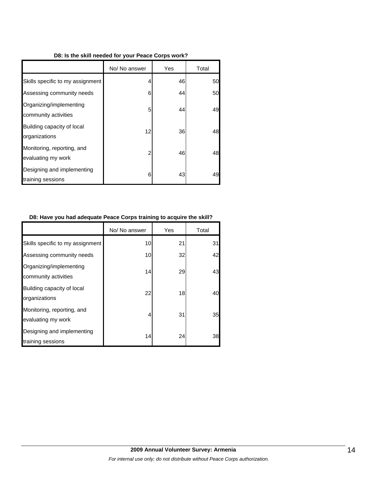### **D8: Is the skill needed for your Peace Corps work?**

|                                                  | No/ No answer | Yes | Total |
|--------------------------------------------------|---------------|-----|-------|
| Skills specific to my assignment                 | 4             | 46  | 50    |
| Assessing community needs                        | 6             | 44  | 50    |
| Organizing/implementing<br>community activities  | 5             | 44  | 49    |
| Building capacity of local<br>organizations      | 12            | 36  | 48    |
| Monitoring, reporting, and<br>evaluating my work | 2             | 46  | 48    |
| Designing and implementing<br>training sessions  | 6             | 43  | 49    |

### **D8: Have you had adequate Peace Corps training to acquire the skill?**

|                                                  | No/ No answer | Yes | Total |
|--------------------------------------------------|---------------|-----|-------|
| Skills specific to my assignment                 | 10            | 21  | 31    |
| Assessing community needs                        | 10            | 32  | 42    |
| Organizing/implementing<br>community activities  | 14            | 29  | 43    |
| Building capacity of local<br>organizations      | 22            | 18  | 40    |
| Monitoring, reporting, and<br>evaluating my work | 4             | 31  | 35    |
| Designing and implementing<br>training sessions  | 14            | 24  | 38    |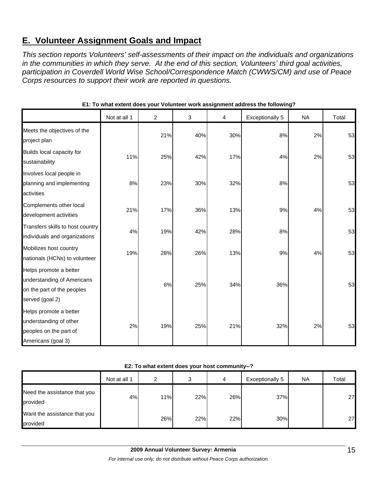# **E. Volunteer Assignment Goals and Impact**

*This section reports Volunteers' self-assessments of their impact on the individuals and organizations in the communities in which they serve. At the end of this section, Volunteers' third goal activities, participation in Coverdell World Wise School/Correspondence Match (CWWS/CM) and use of Peace Corps resources to support their work are reported in questions.* 

|                                                                                                       | Not at all 1 | $\overline{c}$ | 3   | 4   | <b>Exceptionally 5</b> | <b>NA</b> | Total |
|-------------------------------------------------------------------------------------------------------|--------------|----------------|-----|-----|------------------------|-----------|-------|
| Meets the objectives of the<br>project plan                                                           |              | 21%            | 40% | 30% | 8%                     | 2%        | 53    |
| Builds local capacity for<br>sustainability                                                           | 11%          | 25%            | 42% | 17% | 4%                     | 2%        | 53    |
| Involves local people in<br>planning and implementing<br>activities                                   | 8%           | 23%            | 30% | 32% | 8%                     |           | 53    |
| Complements other local<br>development activities                                                     | 21%          | 17%            | 36% | 13% | 9%                     | 4%        | 53    |
| Transfers skills to host country<br>individuals and organizations                                     | 4%           | 19%            | 42% | 28% | 8%                     |           | 53    |
| Mobilizes host country<br>nationals (HCNs) to volunteer                                               | 19%          | 28%            | 26% | 13% | 9%                     | 4%        | 53    |
| Helps promote a better<br>understanding of Americans<br>on the part of the peoples<br>served (goal 2) |              | 6%             | 25% | 34% | 36%                    |           | 53    |
| Helps promote a better<br>understanding of other<br>peoples on the part of<br>Americans (goal 3)      | 2%           | 19%            | 25% | 21% | 32%                    | 2%        | 53    |

**E1: To what extent does your Volunteer work assignment address the following?**

### **E2: To what extent does your host community--?**

|                                          | Not at all 1 | ົ   | っ<br>C | 4   | Exceptionally 5 | <b>NA</b> | Total |
|------------------------------------------|--------------|-----|--------|-----|-----------------|-----------|-------|
| Need the assistance that you<br>provided | 4%           | 11% | 22%    | 26% | 37%             |           | 27    |
| Want the assistance that you<br>provided |              | 26% | 22%    | 22% | 30%             |           | 27    |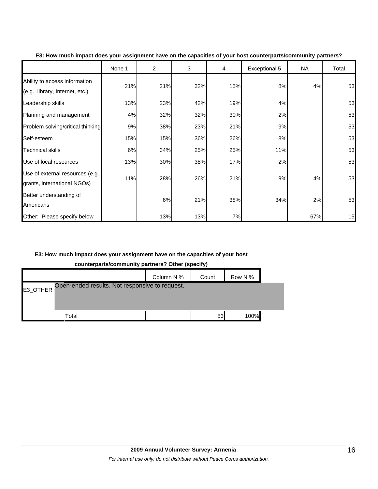|                                                                  | None 1 | $\overline{2}$ | 3   | 4   | Exceptional 5 | NA  | Total |
|------------------------------------------------------------------|--------|----------------|-----|-----|---------------|-----|-------|
| Ability to access information<br>(e.g., library, Internet, etc.) | 21%    | 21%            | 32% | 15% | 8%            | 4%  | 53    |
| Leadership skills                                                | 13%    | 23%            | 42% | 19% | 4%            |     | 53    |
| Planning and management                                          | 4%     | 32%            | 32% | 30% | 2%            |     | 53    |
| Problem solving/critical thinking                                | 9%     | 38%            | 23% | 21% | 9%            |     | 53    |
| Self-esteem                                                      | 15%    | 15%            | 36% | 26% | 8%            |     | 53    |
| <b>Technical skills</b>                                          | 6%     | 34%            | 25% | 25% | 11%           |     | 53    |
| Use of local resources                                           | 13%    | 30%            | 38% | 17% | 2%            |     | 53    |
| Use of external resources (e.g.,<br>grants, international NGOs)  | 11%    | 28%            | 26% | 21% | 9%            | 4%  | 53    |
| Better understanding of<br>Americans                             |        | 6%             | 21% | 38% | 34%           | 2%  | 53    |
| Other: Please specify below                                      |        | 13%            | 13% | 7%  |               | 67% | 15    |

#### **E3: How much impact does your assignment have on the capacities of your host counterparts/community partners?**

# **E3: How much impact does your assignment have on the capacities of your host**

**counterparts/community partners? Other (specify)**

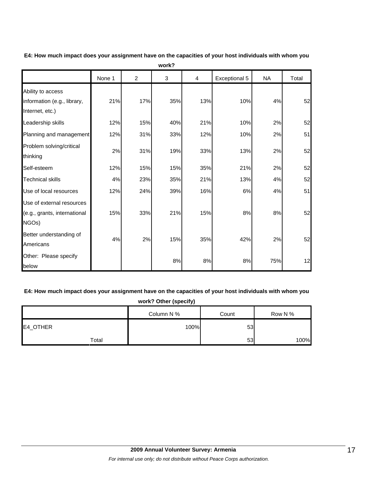|                                                                     | None 1 | $\overline{c}$ | 3   | 4   | Exceptional 5 | <b>NA</b> | Total |
|---------------------------------------------------------------------|--------|----------------|-----|-----|---------------|-----------|-------|
| Ability to access<br>information (e.g., library,<br>Internet, etc.) | 21%    | 17%            | 35% | 13% | 10%           | 4%        | 52    |
| Leadership skills                                                   | 12%    | 15%            | 40% | 21% | 10%           | 2%        | 52    |
| Planning and management                                             | 12%    | 31%            | 33% | 12% | 10%           | 2%        | 51    |
| Problem solving/critical<br>thinking                                | 2%     | 31%            | 19% | 33% | 13%           | 2%        | 52    |
| Self-esteem                                                         | 12%    | 15%            | 15% | 35% | 21%           | 2%        | 52    |
| <b>Technical skills</b>                                             | 4%     | 23%            | 35% | 21% | 13%           | 4%        | 52    |
| Use of local resources                                              | 12%    | 24%            | 39% | 16% | $6\%$         | 4%        | 51    |
| Use of external resources<br>(e.g., grants, international<br>NGOs)  | 15%    | 33%            | 21% | 15% | 8%            | 8%        | 52    |
| Better understanding of<br>Americans                                | 4%     | 2%             | 15% | 35% | 42%           | 2%        | 52    |
| Other: Please specify<br>below                                      |        |                | 8%  | 8%  | 8%            | 75%       | 12    |

**E4: How much impact does your assignment have on the capacities of your host individuals with whom you work?**

# **E4: How much impact does your assignment have on the capacities of your host individuals with whom you**

| work? Other (specify) |            |       |         |  |  |  |  |  |  |
|-----------------------|------------|-------|---------|--|--|--|--|--|--|
|                       | Column N % | Count | Row N % |  |  |  |  |  |  |
| E4_OTHER              | 100%       | 53    |         |  |  |  |  |  |  |
| Total                 |            | 53    | 100%    |  |  |  |  |  |  |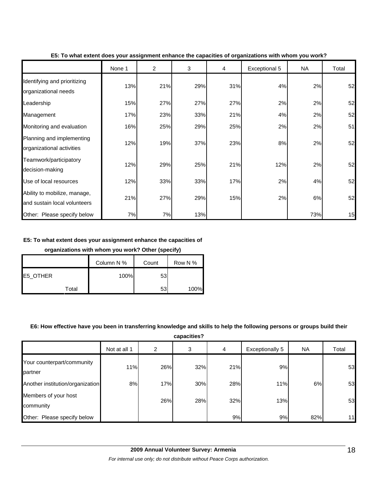|                                                              | None 1 | 2   | 3   | 4   | Exceptional 5 | <b>NA</b> | Total |
|--------------------------------------------------------------|--------|-----|-----|-----|---------------|-----------|-------|
| Identifying and prioritizing<br>organizational needs         | 13%    | 21% | 29% | 31% | 4%            | 2%        | 52    |
| Leadership                                                   | 15%    | 27% | 27% | 27% | 2%            | 2%        | 52    |
| Management                                                   | 17%    | 23% | 33% | 21% | 4%            | 2%        | 52    |
| Monitoring and evaluation                                    | 16%    | 25% | 29% | 25% | 2%            | 2%        | 51    |
| Planning and implementing<br>organizational activities       | 12%    | 19% | 37% | 23% | 8%            | 2%        | 52    |
| Teamwork/participatory<br>decision-making                    | 12%    | 29% | 25% | 21% | 12%           | 2%        | 52    |
| Use of local resources                                       | 12%    | 33% | 33% | 17% | 2%            | 4%        | 52    |
| Ability to mobilize, manage,<br>and sustain local volunteers | 21%    | 27% | 29% | 15% | 2%            | 6%        | 52    |
| Other: Please specify below                                  | 7%     | 7%  | 13% |     |               | 73%       | 15    |

**E5: To what extent does your assignment enhance the capacities of organizations with whom you work?**

### **E5: To what extent does your assignment enhance the capacities of**

### **organizations with whom you work? Other (specify)**

|          |       | Column N % | Count | Row N % |
|----------|-------|------------|-------|---------|
| E5_OTHER |       | 100%       | 53    |         |
|          | Total |            | 53    | 100%    |

# **E6: How effective have you been in transferring knowledge and skills to help the following persons or groups build their**

**capacities?**

|                                       | Not at all 1 | 2   | 3   | 4   | Exceptionally 5 | <b>NA</b> | Total |
|---------------------------------------|--------------|-----|-----|-----|-----------------|-----------|-------|
| Your counterpart/community<br>partner | 11%          | 26% | 32% | 21% | 9%              |           | 53    |
| Another institution/organization      | 8%           | 17% | 30% | 28% | 11%             | 6%        | 53    |
| Members of your host<br>community     |              | 26% | 28% | 32% | 13%             |           | 53    |
| Other: Please specify below           |              |     |     | 9%  | 9%              | 82%       | 11    |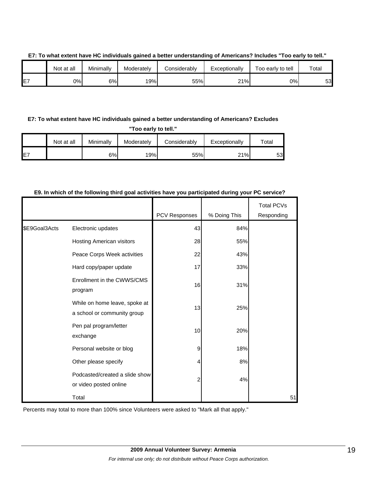|     | Not at all | Minimally | Moderately | Considerably | Exceptionally | Too early to tell | Total |
|-----|------------|-----------|------------|--------------|---------------|-------------------|-------|
| IE7 | 0%I        | 6%        | 19%        | 55%          | 21%           | 0%I               | 53    |

### **E7: To what extent have HC individuals gained a better understanding of Americans? Includes "Too early to tell."**

# **E7: To what extent have HC individuals gained a better understanding of Americans? Excludes**

**"Too early to tell."**

|     | Not at all | Minimally | Moderately | Considerably | Exceptionally | $\tau$ otal |
|-----|------------|-----------|------------|--------------|---------------|-------------|
| IE7 |            | 6%        | 19%        | 55%          | 21%           | 53.         |

# **E9. In which of the following third goal activities have you participated during your PC service?**

|               |                                                              | PCV Responses | % Doing This | <b>Total PCVs</b><br>Responding |
|---------------|--------------------------------------------------------------|---------------|--------------|---------------------------------|
| \$E9Goal3Acts | Electronic updates                                           | 43            | 84%          |                                 |
|               | Hosting American visitors                                    | 28            | 55%          |                                 |
|               | Peace Corps Week activities                                  | 22            | 43%          |                                 |
|               | Hard copy/paper update                                       | 17            | 33%          |                                 |
|               | Enrollment in the CWWS/CMS<br>program                        | 16            | 31%          |                                 |
|               | While on home leave, spoke at<br>a school or community group | 13            | 25%          |                                 |
|               | Pen pal program/letter<br>exchange                           | 10            | 20%          |                                 |
|               | Personal website or blog                                     | 9             | 18%          |                                 |
|               | Other please specify                                         | 4             | 8%           |                                 |
|               | Podcasted/created a slide show<br>or video posted online     | 2             | 4%           |                                 |
|               | Total                                                        |               |              | 51                              |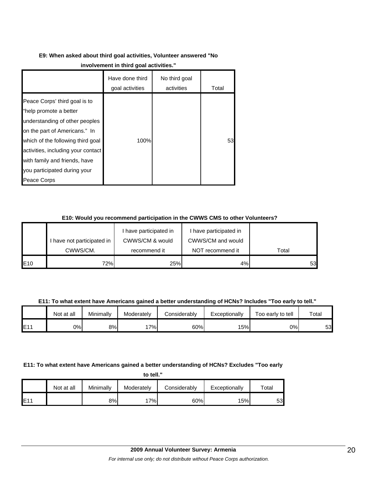# **E9: When asked about third goal activities, Volunteer answered "No**

|                                                                                                                                                                                                                                                                                       | Have done third<br>goal activities | No third goal<br>activities | Total |
|---------------------------------------------------------------------------------------------------------------------------------------------------------------------------------------------------------------------------------------------------------------------------------------|------------------------------------|-----------------------------|-------|
| Peace Corps' third goal is to<br>"help promote a better<br>understanding of other peoples<br>on the part of Americans." In<br>which of the following third goal<br>activities, including your contact<br>with family and friends, have<br>you participated during your<br>Peace Corps | 100%                               |                             | 53    |

# **E10: Would you recommend participation in the CWWS CMS to other Volunteers?**

|     |                            | have participated in | I have participated in |       |
|-----|----------------------------|----------------------|------------------------|-------|
|     | I have not participated in | CWWS/CM & would      | CWWS/CM and would      |       |
|     | CWWS/CM.                   | recommend it         | NOT recommend it       | Total |
| E10 | 72%                        | 25%                  | 4%                     | 53    |

**E11: To what extent have Americans gained a better understanding of HCNs? Includes "Too early to tell."**

|      | Not at all | Minimally | Moderately | Considerably | Exceptionally | Too early to tell | Total |
|------|------------|-----------|------------|--------------|---------------|-------------------|-------|
| IE11 | 0%         | 8%        | 7%         | 60%          | 15%           | 0%                | 53    |

# **E11: To what extent have Americans gained a better understanding of HCNs? Excludes "Too early**

**to tell."**

|     | Not at all | Minimally | Moderately | Considerably | Exceptionally | $\tau$ otal |
|-----|------------|-----------|------------|--------------|---------------|-------------|
| E11 |            | 8%        | 7%         | 60%          | 15%           | 53          |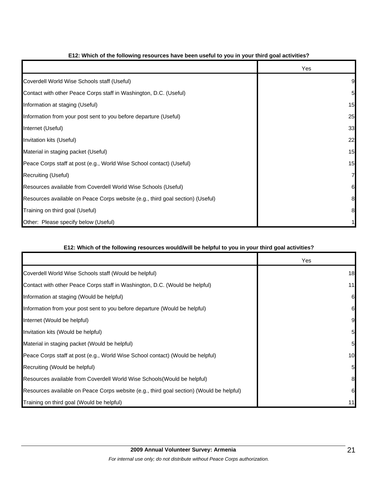|                                                                                | Yes |
|--------------------------------------------------------------------------------|-----|
| Coverdell World Wise Schools staff (Useful)                                    |     |
| Contact with other Peace Corps staff in Washington, D.C. (Useful)              | 5   |
| Information at staging (Useful)                                                | 15  |
| Information from your post sent to you before departure (Useful)               | 25  |
| Internet (Useful)                                                              | 33  |
| Invitation kits (Useful)                                                       | 22  |
| Material in staging packet (Useful)                                            | 15  |
| Peace Corps staff at post (e.g., World Wise School contact) (Useful)           | 15  |
| Recruiting (Useful)                                                            |     |
| Resources available from Coverdell World Wise Schools (Useful)                 | 6   |
| Resources available on Peace Corps website (e.g., third goal section) (Useful) | 8   |
| Training on third goal (Useful)                                                | 8   |
| Other: Please specify below (Useful)                                           |     |

# **E12: Which of the following resources have been useful to you in your third goal activities?**

# **E12: Which of the following resources would/will be helpful to you in your third goal activities?**

|                                                                                          | Yes |
|------------------------------------------------------------------------------------------|-----|
| Coverdell World Wise Schools staff (Would be helpful)                                    | 18  |
| Contact with other Peace Corps staff in Washington, D.C. (Would be helpful)              | 11  |
| Information at staging (Would be helpful)                                                | 6   |
| Information from your post sent to you before departure (Would be helpful)               |     |
| Internet (Would be helpful)                                                              |     |
| Invitation kits (Would be helpful)                                                       |     |
| Material in staging packet (Would be helpful)                                            |     |
| Peace Corps staff at post (e.g., World Wise School contact) (Would be helpful)           | 10  |
| Recruiting (Would be helpful)                                                            |     |
| Resources available from Coverdell World Wise Schools (Would be helpful)                 |     |
| Resources available on Peace Corps website (e.g., third goal section) (Would be helpful) |     |
| Training on third goal (Would be helpful)                                                |     |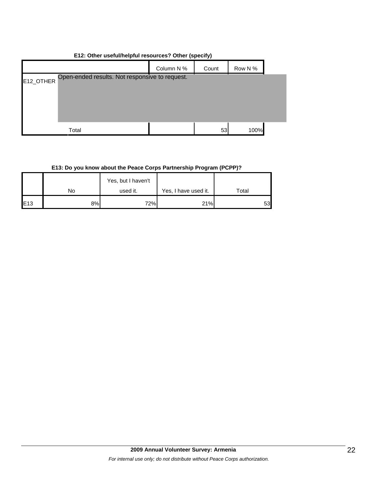| E12: Other useful/helpful resources? Other (specify) |  |  |
|------------------------------------------------------|--|--|
|------------------------------------------------------|--|--|

|           |                                                | Column N % | Count | Row N % |  |
|-----------|------------------------------------------------|------------|-------|---------|--|
| E12_OTHER | Open-ended results. Not responsive to request. |            |       |         |  |
|           |                                                |            |       |         |  |
|           |                                                |            |       |         |  |
|           |                                                |            |       |         |  |
|           | Total                                          |            | 53    | 100%    |  |

# **E13: Do you know about the Peace Corps Partnership Program (PCPP)?**

|                 |    | Yes, but I haven't |                      |       |
|-----------------|----|--------------------|----------------------|-------|
|                 | No | used it.           | Yes, I have used it. | Total |
| E <sub>13</sub> | 8% | 72%                | 21%                  | 53    |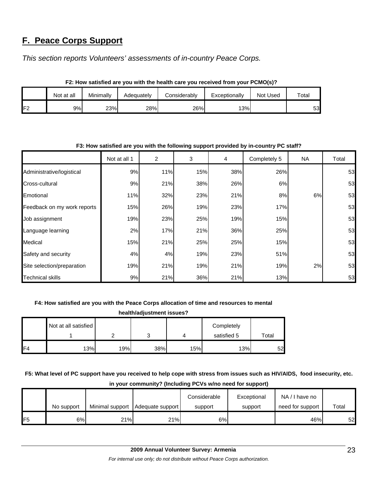# **F. Peace Corps Support**

*This section reports Volunteers' assessments of in-country Peace Corps.* 

|                | .          |           |            |              |               |          |             |  |
|----------------|------------|-----------|------------|--------------|---------------|----------|-------------|--|
|                | Not at all | Minimally | Adequatelv | Considerablv | Exceptionally | Not Used | $\tau$ otal |  |
| F <sub>2</sub> | 9%I        | 23%       | 28%        | 26%          | 13%           |          | 53          |  |

# **F2: How satisfied are you with the health care you received from your PCMO(s)?**

# Not at all 1 | 2 | 3 | 4 | Completely 5 | NA | Total Administrative/logistical | 9% 11% 15% 38% 26% | 53 Cross-cultural 9% 21% 38% 26% 6% 53 Emotional 11% 32% 23% 21% 8% 6% 53 Feedback on my work reports | 15% | 26% 19% | 23% | 17% | 53 Job assignment 19% 23% 25% 19% 15% 53 Language learning  $2\%$  2% 27% 21% 26% 25% 25% 25% 25% Medical 15% 21% 25% 25% 15% 53 Safety and security 4% 4% 19% 23% 51% 53 Site selection/preparation 19% 21% 19% 21% 19% 2% 53 Technical skills 9% 21% 36% 21% 13% 53

# **F3: How satisfied are you with the following support provided by in-country PC staff?**

# **F4: How satisfied are you with the Peace Corps allocation of time and resources to mental**

| health/adjustment issues? |                      |     |     |     |             |       |
|---------------------------|----------------------|-----|-----|-----|-------------|-------|
|                           | Not at all satisfied |     |     |     | Completely  |       |
|                           |                      | ⌒   | 3   |     | satisfied 5 | Total |
| F <sub>4</sub>            | 13%                  | 19% | 38% | 15% | 13%         | 52    |

# **F5: What level of PC support have you received to help cope with stress from issues such as HIV/AIDS, food insecurity, etc. in your community? (Including PCVs w/no need for support)**

|                |            |                 |                  | Considerable | Exceptional | NA/I have no     |       |
|----------------|------------|-----------------|------------------|--------------|-------------|------------------|-------|
|                | No support | Minimal support | Adequate support | support      | support     | need for support | Total |
| F <sub>5</sub> | 6%         | 21%             | 21%              | 6%I          |             | 46%              | 52    |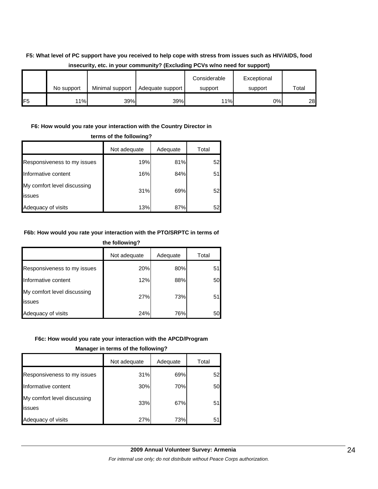# **F5: What level of PC support have you received to help cope with stress from issues such as HIV/AIDS, food insecurity, etc. in your community? (Excluding PCVs w/no need for support)**

|                 | No support | Minimal support | Adequate support | Considerable<br>support | Exceptional<br>support | Total |
|-----------------|------------|-----------------|------------------|-------------------------|------------------------|-------|
| IF <sub>5</sub> | 11%        | 39%             | 39%              | 11%                     | 0%l                    | 28    |

# **F6: How would you rate your interaction with the Country Director in**

|                                               | Not adequate | Adequate | Total |  |  |
|-----------------------------------------------|--------------|----------|-------|--|--|
| Responsiveness to my issues                   | 19%          | 81%      | 52    |  |  |
| Informative content                           | 16%          | 84%      | 51    |  |  |
| My comfort level discussing<br><b>lissues</b> | 31%          | 69%      | 52    |  |  |
| Adequacy of visits                            | 13%          | 87%      | 52    |  |  |

### **terms of the following?**

# **F6b: How would you rate your interaction with the PTO/SRPTC in terms of the following?**

|                                       | Not adequate | Adequate | Total |  |
|---------------------------------------|--------------|----------|-------|--|
| Responsiveness to my issues           | 20%          | 80%      | 51    |  |
| Informative content                   | 12%          | 88%      | 50    |  |
| My comfort level discussing<br>issues | 27%          | 73%      | 51    |  |
| Adequacy of visits                    | 24%          | 76%      | 50    |  |

# **F6c: How would you rate your interaction with the APCD/Program**

#### **Manager in terms of the following?**

|                                               | Not adequate | Adequate | Total |
|-----------------------------------------------|--------------|----------|-------|
| Responsiveness to my issues                   | 31%          | 69%      | 52I   |
| Informative content                           | 30%          | 70%      | 50    |
| My comfort level discussing<br><b>lissues</b> | 33%          | 67%      | 51    |
| Adequacy of visits                            | 27%          | 73%      | 5     |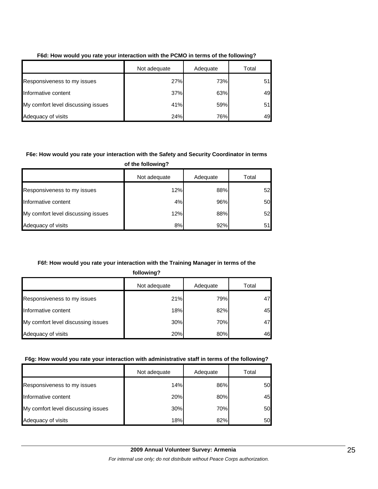|                                    | Not adequate | Adequate | Total |
|------------------------------------|--------------|----------|-------|
| Responsiveness to my issues        | 27%          | 73%      | 51    |
| Informative content                | 37%          | 63%      | 49    |
| My comfort level discussing issues | 41%          | 59%      | 51    |
| Adequacy of visits                 | 24%          | 76%      | 49    |

# **F6d: How would you rate your interaction with the PCMO in terms of the following?**

# **F6e: How would you rate your interaction with the Safety and Security Coordinator in terms**

**of the following?**

|                                    | Not adequate | Adequate | Total |
|------------------------------------|--------------|----------|-------|
| Responsiveness to my issues        | 12%          | 88%      | 52    |
| Informative content                | 4%           | 96%      | 50    |
| My comfort level discussing issues | 12%          | 88%      | 52    |
| Adequacy of visits                 | 8%           | 92%      | 51    |

# **F6f: How would you rate your interaction with the Training Manager in terms of the**

**following?**

|                                    | Not adequate | Adequate | Total |
|------------------------------------|--------------|----------|-------|
| Responsiveness to my issues        | 21%          | 79%      | 47    |
| Informative content                | 18%          | 82%      | 45    |
| My comfort level discussing issues | 30%          | 70%      | 47    |
| Adequacy of visits                 | 20%          | 80%      | 46    |

# **F6g: How would you rate your interaction with administrative staff in terms of the following?**

|                                    | Not adequate | Adequate | Total |
|------------------------------------|--------------|----------|-------|
| Responsiveness to my issues        | 14%          | 86%      | 50    |
| Informative content                | 20%          | 80%      | 45    |
| My comfort level discussing issues | 30%          | 70%      | 50    |
| Adequacy of visits                 | 18%          | 82%      | 50    |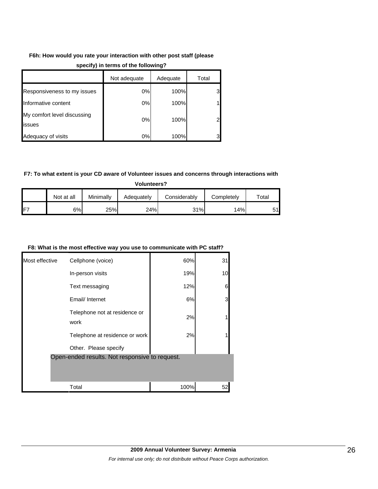# **F6h: How would you rate your interaction with other post staff (please**

|                                       | Not adequate | Adequate | Total          |
|---------------------------------------|--------------|----------|----------------|
| Responsiveness to my issues           | 0%           | 100%     | 3              |
| Informative content                   | 0%           | 100%     | 1              |
| My comfort level discussing<br>issues | 0%           | 100%     | $\overline{2}$ |
| Adequacy of visits                    | $0\%$        | 100%     | 3              |

# **specify) in terms of the following?**

# **F7: To what extent is your CD aware of Volunteer issues and concerns through interactions with**

**Volunteers?**

|     | Not at all | Minimallv | Adeɑuatelv | Considerablv | Completelv | $\tau$ otal |
|-----|------------|-----------|------------|--------------|------------|-------------|
| IF7 | 6%         | 25%       | 24%        | 31%          | 14%        | 51          |

### **F8: What is the most effective way you use to communicate with PC staff?**

| Most effective | Cellphone (voice)                              | 60%  | 31 |
|----------------|------------------------------------------------|------|----|
|                | In-person visits                               | 19%  | 10 |
|                | Text messaging                                 | 12%  | 6  |
|                | Email/ Internet                                | 6%   | 3  |
|                | Telephone not at residence or<br>work          | 2%   |    |
|                | Telephone at residence or work                 | 2%   |    |
|                | Other. Please specify                          |      |    |
|                | Open-ended results. Not responsive to request. |      |    |
|                | Total                                          | 100% | 52 |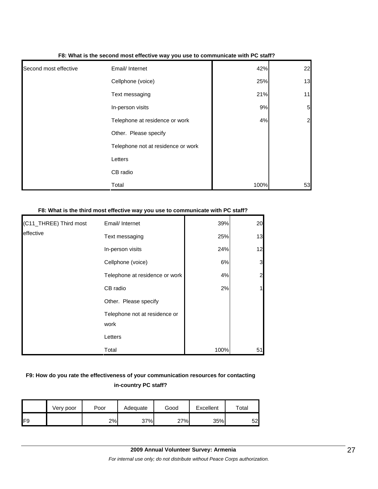|                       | . .                                |      |                |
|-----------------------|------------------------------------|------|----------------|
| Second most effective | Email/ Internet                    | 42%  | 22             |
|                       | Cellphone (voice)                  | 25%  | 13             |
|                       | Text messaging                     | 21%  | 11             |
|                       | In-person visits                   | 9%   | 5              |
|                       | Telephone at residence or work     | 4%   | $\overline{2}$ |
|                       | Other. Please specify              |      |                |
|                       | Telephone not at residence or work |      |                |
|                       | Letters                            |      |                |
|                       | CB radio                           |      |                |
|                       | Total                              | 100% | 53             |

#### **F8: What is the second most effective way you use to communicate with PC staff?**

#### **F8: What is the third most effective way you use to communicate with PC staff?**

| (C11_THREE) Third most | Email/ Internet                | 39%  | 20             |
|------------------------|--------------------------------|------|----------------|
| leffective             | Text messaging                 | 25%  | 13             |
|                        | In-person visits               | 24%  | 12             |
|                        | Cellphone (voice)              | 6%   | $\mathbf{3}$   |
|                        | Telephone at residence or work | 4%   | $\overline{a}$ |
|                        | CB radio                       | 2%   |                |
|                        | Other. Please specify          |      |                |
|                        | Telephone not at residence or  |      |                |
|                        | work                           |      |                |
|                        | Letters                        |      |                |
|                        | Total                          | 100% | 51             |

# **F9: How do you rate the effectiveness of your communication resources for contacting in-country PC staff?**

|     | Very poor | Poor | Adequate | Good | Excellent | $\mathsf{total}$ |
|-----|-----------|------|----------|------|-----------|------------------|
| IF9 |           | 2%   | 37%      | 27%  | 35%       | 52               |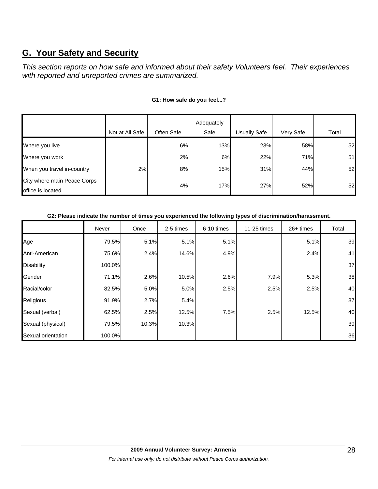# **G. Your Safety and Security**

*This section reports on how safe and informed about their safety Volunteers feel. Their experiences with reported and unreported crimes are summarized.* 

|                             |                 |            | Adequately |              |           |       |
|-----------------------------|-----------------|------------|------------|--------------|-----------|-------|
|                             | Not at All Safe | Often Safe | Safe       | Usually Safe | Very Safe | Total |
| Where you live              |                 | 6%         | 13%        | 23%          | 58%       | 52    |
| Where you work              |                 | 2%         | 6%         | 22%          | 71%       | 51    |
| When you travel in-country  | 2%              | 8%         | 15%        | 31%          | 44%       | 52    |
| City where main Peace Corps |                 | 4%         | 17%        | 27%          | 52%       | 52    |
| office is located           |                 |            |            |              |           |       |

# **G1: How safe do you feel...?**

# **G2: Please indicate the number of times you experienced the following types of discrimination/harassment.**

|                    | Never  | Once  | 2-5 times | 6-10 times | 11-25 times | $26+$ times | Total |
|--------------------|--------|-------|-----------|------------|-------------|-------------|-------|
| Age                | 79.5%  | 5.1%  | 5.1%      | 5.1%       |             | 5.1%        | 39    |
| Anti-American      | 75.6%  | 2.4%  | 14.6%     | 4.9%       |             | 2.4%        | 41    |
| <b>Disability</b>  | 100.0% |       |           |            |             |             | 37    |
| Gender             | 71.1%  | 2.6%  | 10.5%     | 2.6%       | 7.9%        | 5.3%        | 38    |
| Racial/color       | 82.5%  | 5.0%  | 5.0%      | 2.5%       | 2.5%        | 2.5%        | 40    |
| Religious          | 91.9%  | 2.7%  | 5.4%      |            |             |             | 37    |
| Sexual (verbal)    | 62.5%  | 2.5%  | 12.5%     | 7.5%       | 2.5%        | 12.5%       | 40    |
| Sexual (physical)  | 79.5%  | 10.3% | 10.3%     |            |             |             | 39    |
| Sexual orientation | 100.0% |       |           |            |             |             | 36    |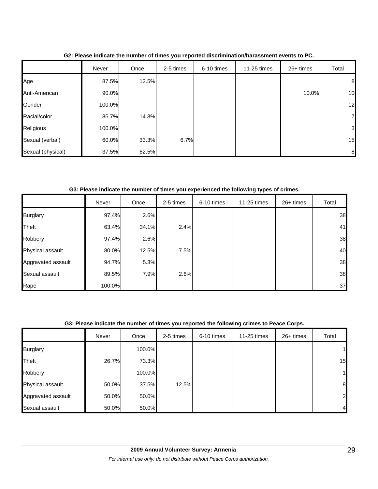|                   | Never  | Once  | 2-5 times | 6-10 times | 11-25 times | 26+ times | Total |
|-------------------|--------|-------|-----------|------------|-------------|-----------|-------|
| Age               | 87.5%  | 12.5% |           |            |             |           | 8     |
| Anti-American     | 90.0%  |       |           |            |             | 10.0%     | 10    |
| Gender            | 100.0% |       |           |            |             |           | 12    |
| Racial/color      | 85.7%  | 14.3% |           |            |             |           | 7     |
| Religious         | 100.0% |       |           |            |             |           | 3     |
| Sexual (verbal)   | 60.0%  | 33.3% | 6.7%      |            |             |           | 15    |
| Sexual (physical) | 37.5%  | 62.5% |           |            |             |           | 8     |

**G2: Please indicate the number of times you reported discrimination/harassment events to PC.**

**G3: Please indicate the number of times you experienced the following types of crimes.**

|                    | Never  | Once  | 2-5 times | 6-10 times | 11-25 times | 26+ times | Total |
|--------------------|--------|-------|-----------|------------|-------------|-----------|-------|
| <b>Burglary</b>    | 97.4%  | 2.6%  |           |            |             |           | 38    |
| Theft              | 63.4%  | 34.1% | 2.4%      |            |             |           | 41    |
| Robbery            | 97.4%  | 2.6%  |           |            |             |           | 38    |
| Physical assault   | 80.0%  | 12.5% | 7.5%      |            |             |           | 40    |
| Aggravated assault | 94.7%  | 5.3%  |           |            |             |           | 38    |
| Sexual assault     | 89.5%  | 7.9%  | 2.6%      |            |             |           | 38    |
| Rape               | 100.0% |       |           |            |             |           | 37    |

# **G3: Please indicate the number of times you reported the following crimes to Peace Corps.**

|                    | Never | Once   | 2-5 times | 6-10 times | 11-25 times | 26+ times | Total          |
|--------------------|-------|--------|-----------|------------|-------------|-----------|----------------|
| <b>Burglary</b>    |       | 100.0% |           |            |             |           | 11             |
| Theft              | 26.7% | 73.3%  |           |            |             |           | 15             |
| Robbery            |       | 100.0% |           |            |             |           | 11             |
| Physical assault   | 50.0% | 37.5%  | 12.5%     |            |             |           | 8              |
| Aggravated assault | 50.0% | 50.0%  |           |            |             |           | 2              |
| Sexual assault     | 50.0% | 50.0%  |           |            |             |           | $\overline{4}$ |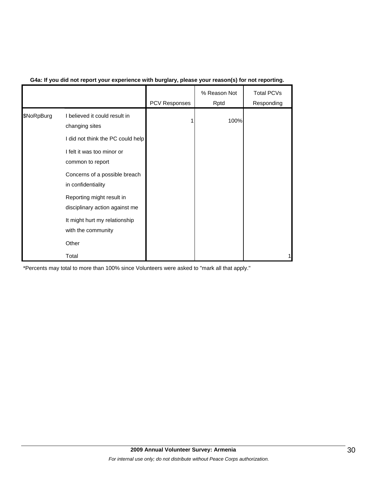|            |                                                             | PCV Responses | % Reason Not<br>Rptd | <b>Total PCVs</b><br>Responding |
|------------|-------------------------------------------------------------|---------------|----------------------|---------------------------------|
| \$NoRpBurg | I believed it could result in<br>changing sites             |               | 100%                 |                                 |
|            | I did not think the PC could help                           |               |                      |                                 |
|            | I felt it was too minor or<br>common to report              |               |                      |                                 |
|            | Concerns of a possible breach<br>in confidentiality         |               |                      |                                 |
|            | Reporting might result in<br>disciplinary action against me |               |                      |                                 |
|            | It might hurt my relationship<br>with the community         |               |                      |                                 |
|            | Other                                                       |               |                      |                                 |
|            | Total                                                       |               |                      |                                 |

# **G4a: If you did not report your experience with burglary, please your reason(s) for not reporting.**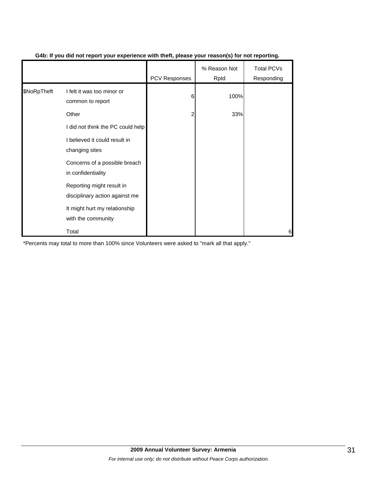|             |                                                             | PCV Responses | % Reason Not<br>Rptd | Total PCVs<br>Responding |
|-------------|-------------------------------------------------------------|---------------|----------------------|--------------------------|
| \$NoRpTheft | I felt it was too minor or<br>common to report              | 6             | 100%                 |                          |
|             | Other                                                       | 2             | 33%                  |                          |
|             | I did not think the PC could help                           |               |                      |                          |
|             | I believed it could result in<br>changing sites             |               |                      |                          |
|             | Concerns of a possible breach<br>in confidentiality         |               |                      |                          |
|             | Reporting might result in<br>disciplinary action against me |               |                      |                          |
|             | It might hurt my relationship<br>with the community         |               |                      |                          |
|             | Total                                                       |               |                      | 6                        |

# **G4b: If you did not report your experience with theft, please your reason(s) for not reporting.**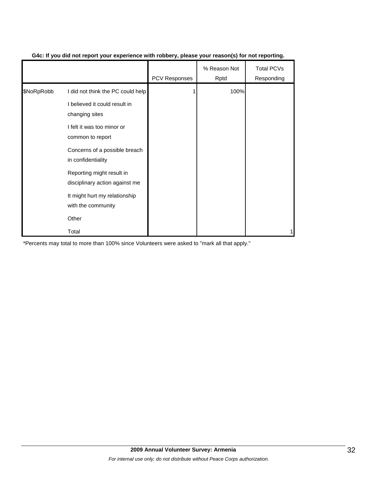|            |                                                             | <b>PCV Responses</b> | % Reason Not<br>Rptd | <b>Total PCVs</b><br>Responding |
|------------|-------------------------------------------------------------|----------------------|----------------------|---------------------------------|
| \$NoRpRobb | I did not think the PC could help                           |                      | 100%                 |                                 |
|            | I believed it could result in<br>changing sites             |                      |                      |                                 |
|            | I felt it was too minor or<br>common to report              |                      |                      |                                 |
|            | Concerns of a possible breach<br>in confidentiality         |                      |                      |                                 |
|            | Reporting might result in<br>disciplinary action against me |                      |                      |                                 |
|            | It might hurt my relationship<br>with the community         |                      |                      |                                 |
|            | Other                                                       |                      |                      |                                 |
|            | Total                                                       |                      |                      |                                 |

# **G4c: If you did not report your experience with robbery, please your reason(s) for not reporting.**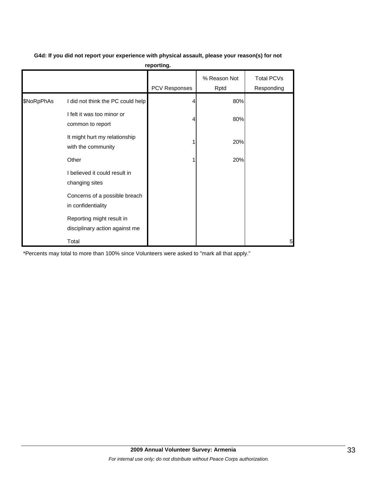|            |                                                             | <b>PCV Responses</b> | % Reason Not<br>Rptd | <b>Total PCVs</b><br>Responding |
|------------|-------------------------------------------------------------|----------------------|----------------------|---------------------------------|
| \$NoRpPhAs | I did not think the PC could help                           |                      | 80%                  |                                 |
|            | I felt it was too minor or<br>common to report              | 4                    | 80%                  |                                 |
|            | It might hurt my relationship<br>with the community         |                      | 20%                  |                                 |
|            | Other                                                       |                      | 20%                  |                                 |
|            | I believed it could result in<br>changing sites             |                      |                      |                                 |
|            | Concerns of a possible breach<br>in confidentiality         |                      |                      |                                 |
|            | Reporting might result in<br>disciplinary action against me |                      |                      |                                 |
|            | Total                                                       |                      |                      | 5                               |

**G4d: If you did not report your experience with physical assault, please your reason(s) for not reporting.**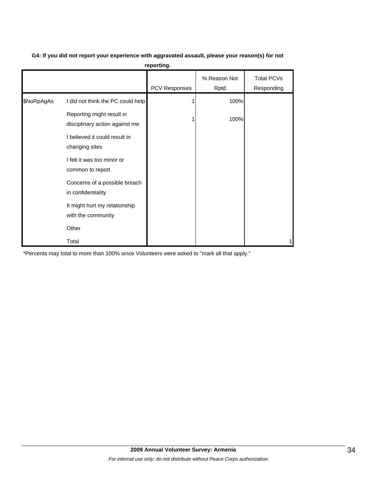|            |                                                             | PCV Responses | % Reason Not<br>Rptd | Total PCVs<br>Responding |
|------------|-------------------------------------------------------------|---------------|----------------------|--------------------------|
| \$NoRpAgAs | I did not think the PC could help                           |               | 100%                 |                          |
|            | Reporting might result in<br>disciplinary action against me |               | 100%                 |                          |
|            | I believed it could result in<br>changing sites             |               |                      |                          |
|            | I felt it was too minor or<br>common to report              |               |                      |                          |
|            | Concerns of a possible breach<br>in confidentiality         |               |                      |                          |
|            | It might hurt my relationship<br>with the community         |               |                      |                          |
|            | Other                                                       |               |                      |                          |

Total 1

# **G4: If you did not report your experience with aggravated assault, please your reason(s) for not reporting.**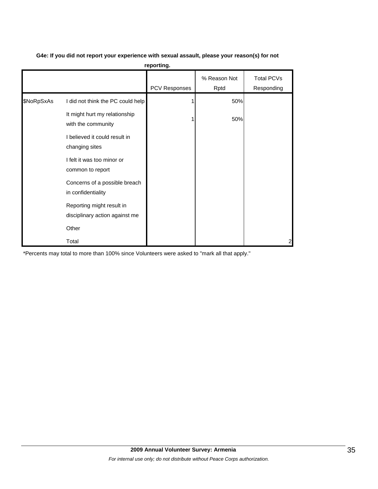|            | reporting.                                                  |               |                      |                          |  |  |  |  |
|------------|-------------------------------------------------------------|---------------|----------------------|--------------------------|--|--|--|--|
|            |                                                             | PCV Responses | % Reason Not<br>Rptd | Total PCVs<br>Responding |  |  |  |  |
| \$NoRpSxAs | I did not think the PC could help                           |               | 50%                  |                          |  |  |  |  |
|            | It might hurt my relationship<br>with the community         |               | 50%                  |                          |  |  |  |  |
|            | I believed it could result in<br>changing sites             |               |                      |                          |  |  |  |  |
|            | I felt it was too minor or<br>common to report              |               |                      |                          |  |  |  |  |
|            | Concerns of a possible breach<br>in confidentiality         |               |                      |                          |  |  |  |  |
|            | Reporting might result in<br>disciplinary action against me |               |                      |                          |  |  |  |  |
|            | Other                                                       |               |                      |                          |  |  |  |  |
|            | Total                                                       |               |                      | 2                        |  |  |  |  |

# **G4e: If you did not report your experience with sexual assault, please your reason(s) for not**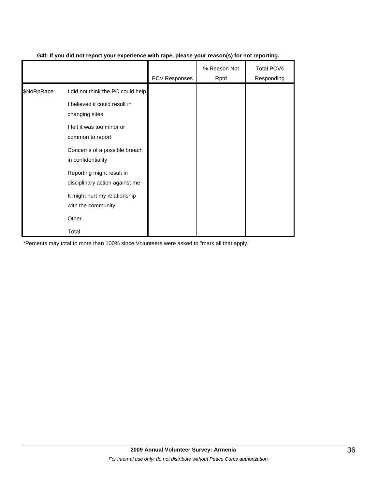|            |                                                             | <b>PCV Responses</b> | % Reason Not<br>Rptd | <b>Total PCVs</b><br>Responding |
|------------|-------------------------------------------------------------|----------------------|----------------------|---------------------------------|
| \$NoRpRape | I did not think the PC could help                           |                      |                      |                                 |
|            | I believed it could result in<br>changing sites             |                      |                      |                                 |
|            | I felt it was too minor or<br>common to report              |                      |                      |                                 |
|            | Concerns of a possible breach<br>in confidentiality         |                      |                      |                                 |
|            | Reporting might result in<br>disciplinary action against me |                      |                      |                                 |
|            | It might hurt my relationship<br>with the community         |                      |                      |                                 |
|            | Other                                                       |                      |                      |                                 |
|            | Total                                                       |                      |                      |                                 |

# **G4f: If you did not report your experience with rape, please your reason(s) for not reporting.**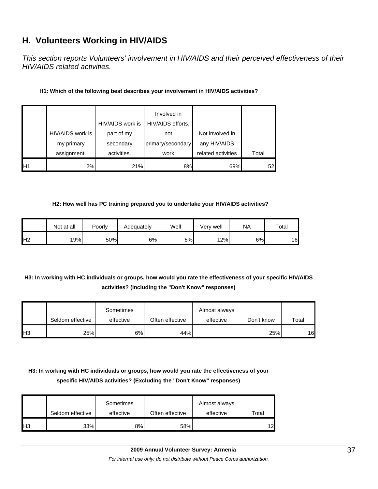# **H. Volunteers Working in HIV/AIDS**

*This section reports Volunteers' involvement in HIV/AIDS and their perceived effectiveness of their HIV/AIDS related activities.* 

| H1: Which of the following best describes your involvement in HIV/AIDS activities? |  |
|------------------------------------------------------------------------------------|--|
|------------------------------------------------------------------------------------|--|

|                |                  | HIV/AIDS work is | Involved in<br>HIV/AIDS efforts, |                    |       |
|----------------|------------------|------------------|----------------------------------|--------------------|-------|
|                | HIV/AIDS work is | part of my       | not                              | Not involved in    |       |
|                | my primary       | secondary        | primary/secondary                | any HIV/AIDS       |       |
|                | assignment.      | activities.      | work                             | related activities | Total |
| H <sub>1</sub> | 2%               | 21%              | 8%                               | 69%                | 52    |

# **H2: How well has PC training prepared you to undertake your HIV/AIDS activities?**

|                | Not at all | Poorly | Adequately | Well | Verv well | <b>NA</b> | $\tau$ otal |
|----------------|------------|--------|------------|------|-----------|-----------|-------------|
| H <sub>2</sub> | 19%        | 50%    | 6%         | 6%   | 12%       | 6%        | 16          |

# **H3: In working with HC individuals or groups, how would you rate the effectiveness of your specific HIV/AIDS activities? (Including the "Don't Know" responses)**

|            |                  | Sometimes |                 | Almost always |            |       |
|------------|------------------|-----------|-----------------|---------------|------------|-------|
|            | Seldom effective | effective | Often effective | effective     | Don't know | Total |
| <b>IH3</b> | 25%              | 6%        | 44%             |               | 25%        | 16    |

# **H3: In working with HC individuals or groups, how would you rate the effectiveness of your specific HIV/AIDS activities? (Excluding the "Don't Know" responses)**

|     | Seldom effective | Sometimes<br>effective | Often effective | Almost always<br>effective | Total |
|-----|------------------|------------------------|-----------------|----------------------------|-------|
| IH3 | 33%              | 8%                     | 58%             |                            | 12    |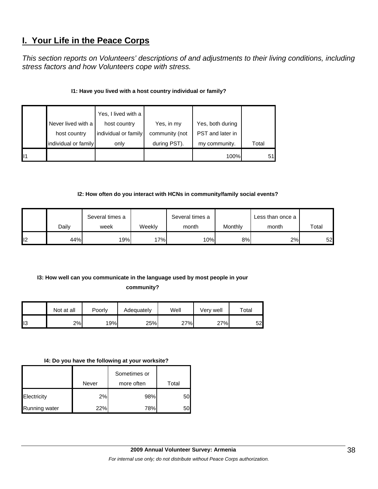# **I. Your Life in the Peace Corps**

*This section reports on Volunteers' descriptions of and adjustments to their living conditions, including stress factors and how Volunteers cope with stress.* 

# **I1: Have you lived with a host country individual or family?**

|    |                      | Yes, I lived with a  |                |                  |       |
|----|----------------------|----------------------|----------------|------------------|-------|
|    | Never lived with a   | host country         | Yes, in my     | Yes, both during |       |
|    | host country         | individual or family | community (not | PST and later in |       |
|    | individual or family | only                 | during PST).   | my community.    | Total |
| 11 |                      |                      |                | 100%             | 51    |

# **I2: How often do you interact with HCNs in community/family social events?**

|     |       | Several times a |        | Several times a |         | Less than once a |       |
|-----|-------|-----------------|--------|-----------------|---------|------------------|-------|
|     | Daily | week            | Weeklv | month           | Monthly | month            | Total |
| II2 | 44%   | 19%             | '7%    | 10%             | 8%      | 2%               | 52    |

# **I3: How well can you communicate in the language used by most people in your**

# **community?**

|                | Not at all | Poorly | Adequately | Well | Very well | $\tau$ otal |
|----------------|------------|--------|------------|------|-----------|-------------|
| $\mathsf{II}3$ | 2%         | 19%    | 25%        | 27%  | 27%       | 52.         |

#### **I4: Do you have the following at your worksite?**

|               |       | Sometimes or |       |
|---------------|-------|--------------|-------|
|               | Never | more often   | Total |
| Electricity   | 2%    | 98%          | 50    |
| Running water | 22%   | 78%          | 50    |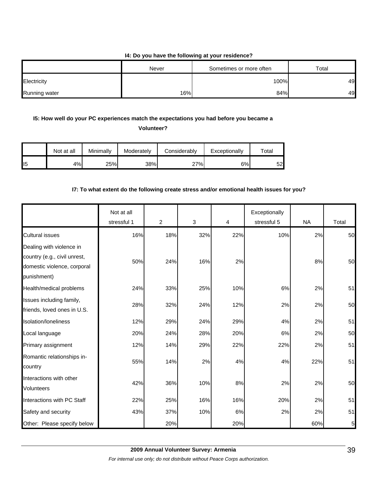#### **I4: Do you have the following at your residence?**

|               | Never | Sometimes or more often | Total |
|---------------|-------|-------------------------|-------|
| Electricity   |       | 100%                    | 49    |
| Running water | 16%   | 84%                     | 49    |

# **I5: How well do your PC experiences match the expectations you had before you became a**

**Volunteer?** 

|                 | Not at all | Minimallv | Moderately | Considerably | Exceptionally | $\tau$ otal |
|-----------------|------------|-----------|------------|--------------|---------------|-------------|
| II <sub>5</sub> | 4%         | 25%       | 38%        | 27%          | 6%            | 52          |

# **I7: To what extent do the following create stress and/or emotional health issues for you?**

|                                                                                                        | Not at all<br>stressful 1 | $\overline{2}$ | 3   | 4     | Exceptionally<br>stressful 5 | <b>NA</b> | Total          |
|--------------------------------------------------------------------------------------------------------|---------------------------|----------------|-----|-------|------------------------------|-----------|----------------|
| <b>Cultural issues</b>                                                                                 | 16%                       | 18%            | 32% | 22%   | 10%                          | 2%        | 50             |
| Dealing with violence in<br>country (e.g., civil unrest,<br>domestic violence, corporal<br>punishment) | 50%                       | 24%            | 16% | 2%    |                              | 8%        | 50             |
| Health/medical problems                                                                                | 24%                       | 33%            | 25% | 10%   | 6%                           | 2%        | 51             |
| Issues including family,<br>friends, loved ones in U.S.                                                | 28%                       | 32%            | 24% | 12%   | 2%                           | 2%        | 50             |
| Isolation/loneliness                                                                                   | 12%                       | 29%            | 24% | 29%   | 4%                           | 2%        | 51             |
| Local language                                                                                         | 20%                       | 24%            | 28% | 20%   | 6%                           | 2%        | 50             |
| Primary assignment                                                                                     | 12%                       | 14%            | 29% | 22%   | 22%                          | 2%        | 51             |
| Romantic relationships in-<br>country                                                                  | 55%                       | 14%            | 2%  | 4%    | 4%                           | 22%       | 51             |
| Interactions with other<br><b>Volunteers</b>                                                           | 42%                       | 36%            | 10% | 8%    | 2%                           | 2%        | 50             |
| Interactions with PC Staff                                                                             | 22%                       | 25%            | 16% | 16%   | 20%                          | 2%        | 51             |
| Safety and security                                                                                    | 43%                       | 37%            | 10% | $6\%$ | 2%                           | 2%        | 51             |
| Other: Please specify below                                                                            |                           | 20%            |     | 20%   |                              | 60%       | 5 <sub>l</sub> |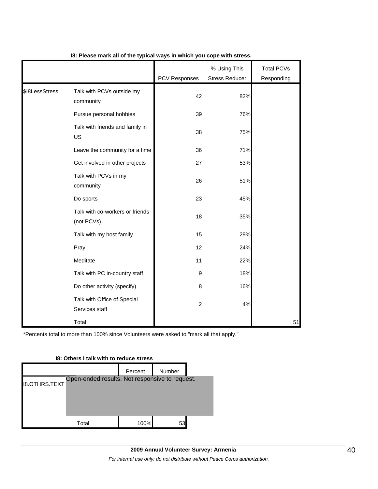|                |                                               | PCV Responses | % Using This<br><b>Stress Reducer</b> | <b>Total PCVs</b><br>Responding |
|----------------|-----------------------------------------------|---------------|---------------------------------------|---------------------------------|
| \$I8LessStress | Talk with PCVs outside my<br>community        | 42            | 82%                                   |                                 |
|                | Pursue personal hobbies                       | 39            | 76%                                   |                                 |
|                | Talk with friends and family in<br><b>US</b>  | 38            | 75%                                   |                                 |
|                | Leave the community for a time                | 36            | 71%                                   |                                 |
|                | Get involved in other projects                | 27            | 53%                                   |                                 |
|                | Talk with PCVs in my<br>community             | 26            | 51%                                   |                                 |
|                | Do sports                                     | 23            | 45%                                   |                                 |
|                | Talk with co-workers or friends<br>(not PCVs) | 18            | 35%                                   |                                 |
|                | Talk with my host family                      | 15            | 29%                                   |                                 |
|                | Pray                                          | 12            | 24%                                   |                                 |
|                | Meditate                                      | 11            | 22%                                   |                                 |
|                | Talk with PC in-country staff                 | 9             | 18%                                   |                                 |
|                | Do other activity (specify)                   | 8             | 16%                                   |                                 |
|                | Talk with Office of Special<br>Services staff | 2             | 4%                                    |                                 |
|                | Total                                         |               |                                       | 51                              |

### **I8: Please mark all of the typical ways in which you cope with stress.**

\*Percents total to more than 100% since Volunteers were asked to "mark all that apply."

# Percent | Number I8.OTHRS.TEXT Total 100% 53 Open-ended results. Not responsive to request.

#### **I8: Others I talk with to reduce stress**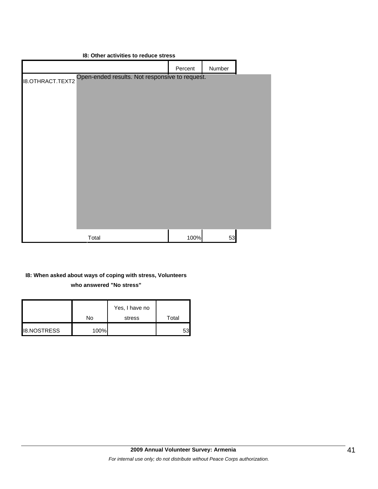|                         | 18: Other activities to reduce stress          |         |        |  |
|-------------------------|------------------------------------------------|---------|--------|--|
|                         |                                                | Percent | Number |  |
| <b>I8.OTHRACT.TEXT2</b> | Open-ended results. Not responsive to request. |         |        |  |
|                         |                                                |         |        |  |
|                         |                                                |         |        |  |
|                         | Total                                          | 100%    | 53     |  |

# **I8: When asked about ways of coping with stress, Volunteers who answered "No stress"**

|                    | No   | Yes, I have no<br>stress | Total |
|--------------------|------|--------------------------|-------|
| <b>I8.NOSTRESS</b> | 100% |                          | 53    |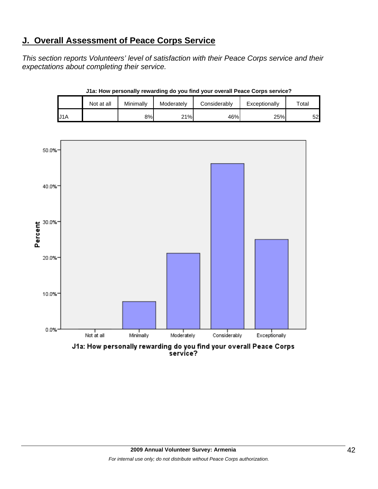# **J. Overall Assessment of Peace Corps Service**

*This section reports Volunteers' level of satisfaction with their Peace Corps service and their expectations about completing their service.*

|     | Not at all | Minimally | Moderately | Considerably | Exceptionally | $\tau$ otal |
|-----|------------|-----------|------------|--------------|---------------|-------------|
| J1A |            | 8%        | 21%        | 46%          | 25%           | 52          |

**J1a: How personally rewarding do you find your overall Peace Corps service?**



J1a: How personally rewarding do you find your overall Peace Corps<br>service?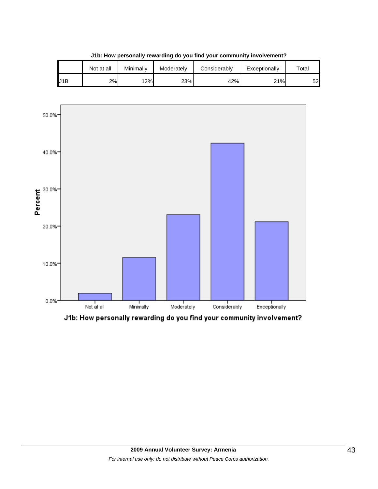|     | Not at all | Minimallv | Moderately | Considerablv | Exceptionally | $\tau$ otai |
|-----|------------|-----------|------------|--------------|---------------|-------------|
| J1B | 2%         | 12%       | 23%        | 42%          | 21%           | 52          |

**J1b: How personally rewarding do you find your community involvement?**



J1b: How personally rewarding do you find your community involvement?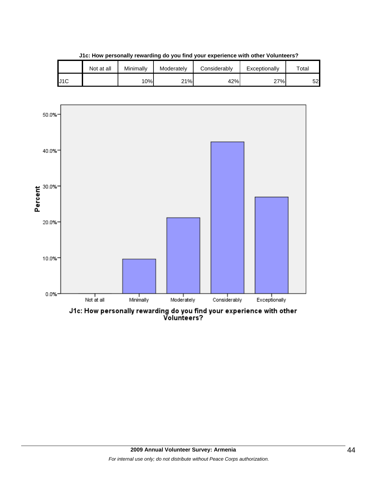|     | Not at all | Minimally | Moderately | Considerablv | Exceptionally | $\tau$ otal |
|-----|------------|-----------|------------|--------------|---------------|-------------|
| J1C |            | 10%       | 21%        | 42%          | 27%           | 52          |

**J1c: How personally rewarding do you find your experience with other Volunteers?**



J1c: How personally rewarding do you find your experience with other<br>Volunteers?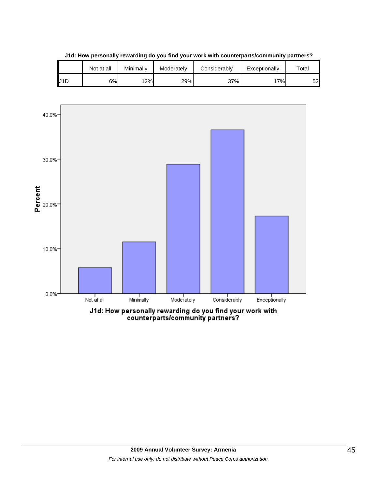|     | Not at all | Minimally | Moderately | Considerablv | Exceptionally | $\tau$ otal |
|-----|------------|-----------|------------|--------------|---------------|-------------|
| J1D | 6%I        | 12%       | 29%        | 37%          | 7%            | 52          |

**J1d: How personally rewarding do you find your work with counterparts/community partners?**

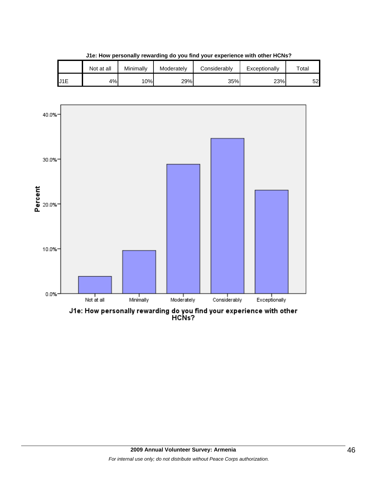|     | Not at all | Minimally | Moderately | Considerablv | Exceptionally | $\tau$ otal |
|-----|------------|-----------|------------|--------------|---------------|-------------|
| J1E | 4%         | 10%       | 29%        | 35%          | 23%           | 52          |

**J1e: How personally rewarding do you find your experience with other HCNs?**



J1e: How personally rewarding do you find your experience with other<br>HCNs?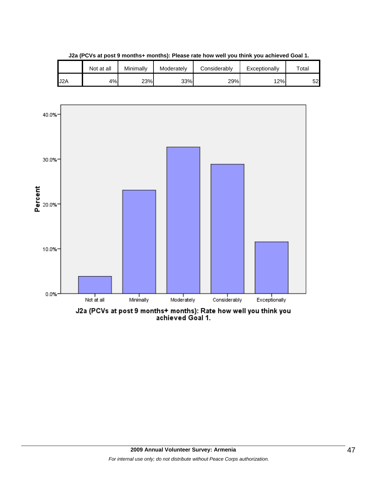|                  | Not at all | Minimallv | Moderately | Considerably | Exceptionally | $\tau$ otal |
|------------------|------------|-----------|------------|--------------|---------------|-------------|
| J <sub>2</sub> A | $4\%$      | 23%       | 33%        | 29%          | 12%           | 52          |

**J2a (PCVs at post 9 months+ months): Please rate how well you think you achieved Goal 1.**

![](_page_46_Figure_2.jpeg)

J2a (PCVs at post 9 months+ months): Rate how well you think you<br>achieved Goal 1.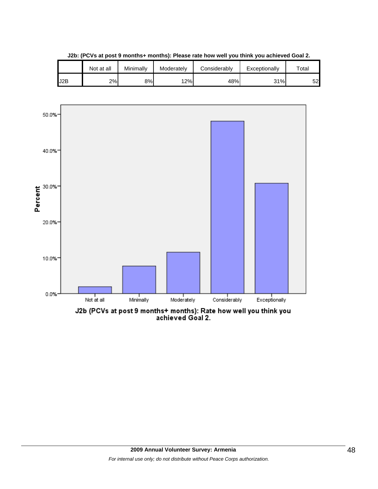|     | Not at all | Minimallv | Moderately | Considerably | Exceptionally | $\tau$ otai |
|-----|------------|-----------|------------|--------------|---------------|-------------|
| J2B | 2%         | 8%l       | 12%        | 48%          | 31%           | 52          |

**J2b: (PCVs at post 9 months+ months): Please rate how well you think you achieved Goal 2.**

![](_page_47_Figure_2.jpeg)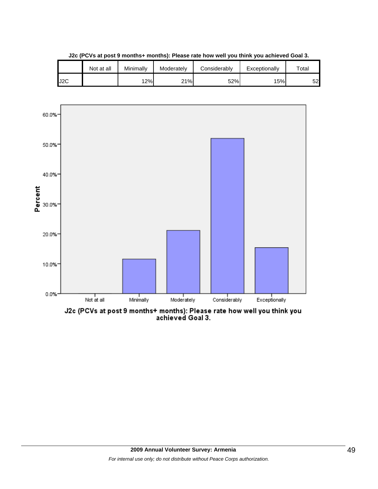![](_page_48_Figure_0.jpeg)

**J2c (PCVs at post 9 months+ months): Please rate how well you think you achieved Goal 3.**

![](_page_48_Figure_2.jpeg)

J2c (PCVs at post 9 months+ months): Please rate how well you think you<br>achieved Goal 3.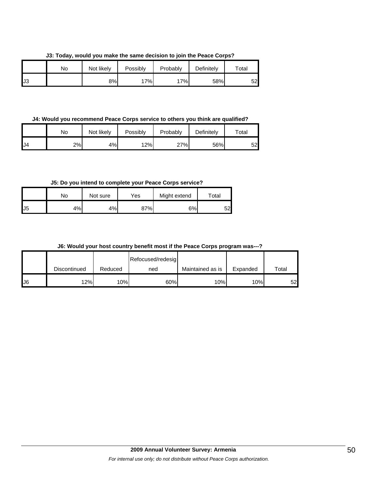**J3: Today, would you make the same decision to join the Peace Corps?**

|     | No | Not likely | Possibly | Probably | Definitely | Total |
|-----|----|------------|----------|----------|------------|-------|
| IJЗ |    | 8%l        | 7%       | 17%      | 58%        | 52    |

**J4: Would you recommend Peace Corps service to others you think are qualified?**

|     | No | Not likely | Possibly | Probably | Definitely | $\tau$ otal |
|-----|----|------------|----------|----------|------------|-------------|
| IJ4 | 2% | 4%         | 12%      | 27%      | 56%        | 52          |

**J5: Do you intend to complete your Peace Corps service?**

|     | No | Not sure | Yes | Might extend | Total |
|-----|----|----------|-----|--------------|-------|
| IJ5 | 4% | 4%       | 87% | 6%           | 52    |

**J6: Would your host country benefit most if the Peace Corps program was---?**

|     |              |         | Refocused/redesig |                  |          |       |
|-----|--------------|---------|-------------------|------------------|----------|-------|
|     | Discontinued | Reduced | ned               | Maintained as is | Expanded | Total |
| IJ6 | 12%          | 10%     | 60%               | 10%              | 10%      | 52    |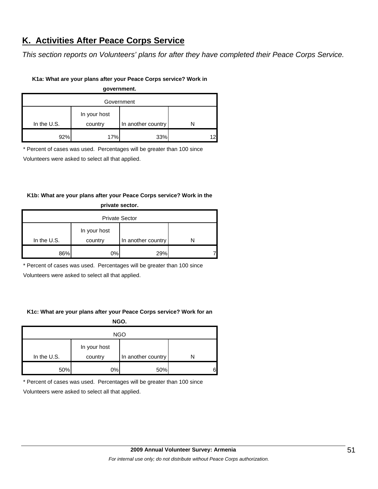# **K. Activities After Peace Corps Service**

*This section reports on Volunteers' plans for after they have completed their Peace Corps Service.* 

### **K1a: What are your plans after your Peace Corps service? Work in**

**government.**

| Government  |                         |                    |  |  |  |
|-------------|-------------------------|--------------------|--|--|--|
| In the U.S. | In your host<br>country | In another country |  |  |  |
| 92%         | 17%                     | 33%                |  |  |  |

\* Percent of cases was used. Percentages will be greater than 100 since

Volunteers were asked to select all that applied.

# **K1b: What are your plans after your Peace Corps service? Work in the private sector.**

| <b>Private Sector</b> |                         |                    |  |  |  |  |
|-----------------------|-------------------------|--------------------|--|--|--|--|
| In the U.S.           | In your host<br>country | In another country |  |  |  |  |
| 86%                   | 0%                      | 29%                |  |  |  |  |

\* Percent of cases was used. Percentages will be greater than 100 since

Volunteers were asked to select all that applied.

# **K1c: What are your plans after your Peace Corps service? Work for an**

**NGO.**

| <b>NGO</b>  |                         |                    |   |  |  |
|-------------|-------------------------|--------------------|---|--|--|
| In the U.S. | In your host<br>country | In another country |   |  |  |
| 50%         | 0%                      | 50%                | հ |  |  |

\* Percent of cases was used. Percentages will be greater than 100 since

Volunteers were asked to select all that applied.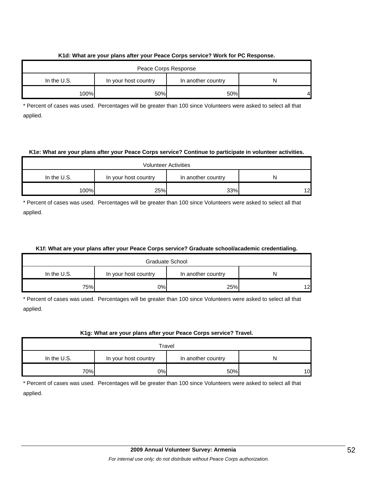### **K1d: What are your plans after your Peace Corps service? Work for PC Response.**

| Peace Corps Response |                      |                    |    |  |  |  |
|----------------------|----------------------|--------------------|----|--|--|--|
| In the $U.S.$        | In your host country | In another country | N  |  |  |  |
| 100%                 | 50%                  | 50%                | 41 |  |  |  |

\* Percent of cases was used. Percentages will be greater than 100 since Volunteers were asked to select all that applied.

### **K1e: What are your plans after your Peace Corps service? Continue to participate in volunteer activities.**

| <b>Volunteer Activities</b> |                      |                    |    |  |  |  |
|-----------------------------|----------------------|--------------------|----|--|--|--|
| In the $U.S.$               | In your host country | In another country |    |  |  |  |
| 100%                        | 25%                  | 33%                | 12 |  |  |  |

\* Percent of cases was used. Percentages will be greater than 100 since Volunteers were asked to select all that applied.

# **K1f: What are your plans after your Peace Corps service? Graduate school/academic credentialing.**

| Graduate School |                      |                    |                 |
|-----------------|----------------------|--------------------|-----------------|
| In the $U.S.$   | In your host country | In another country | N               |
| 75%             | 0%I                  | 25%                | 12 <sub>l</sub> |

\* Percent of cases was used. Percentages will be greater than 100 since Volunteers were asked to select all that applied.

# **K1g: What are your plans after your Peace Corps service? Travel.**

| Travel      |                      |                    |    |
|-------------|----------------------|--------------------|----|
| In the U.S. | In your host country | In another country |    |
| 70%         | 0%                   | 50%                | 10 |

\* Percent of cases was used. Percentages will be greater than 100 since Volunteers were asked to select all that applied.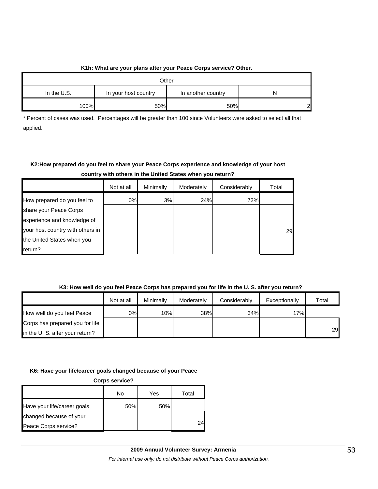# **K1h: What are your plans after your Peace Corps service? Other.**

| Other         |                      |                    |   |  |
|---------------|----------------------|--------------------|---|--|
| In the $U.S.$ | In your host country | In another country | N |  |
| 100%          | 50%                  | 50%                | ົ |  |

\* Percent of cases was used. Percentages will be greater than 100 since Volunteers were asked to select all that applied.

# **K2:How prepared do you feel to share your Peace Corps experience and knowledge of your host country with others in the United States when you return?**

|                                  | Not at all | Minimally | Moderately | Considerably | Total |
|----------------------------------|------------|-----------|------------|--------------|-------|
| How prepared do you feel to      | 0%         | 3%        | 24%        | 72%          |       |
| share your Peace Corps           |            |           |            |              |       |
| experience and knowledge of      |            |           |            |              |       |
| your host country with others in |            |           |            |              | 29    |
| the United States when you       |            |           |            |              |       |
| return?                          |            |           |            |              |       |

# **K3: How well do you feel Peace Corps has prepared you for life in the U. S. after you return?**

|                                 | Not at all | Minimally | Moderately | Considerably | Exceptionally | Total |
|---------------------------------|------------|-----------|------------|--------------|---------------|-------|
| How well do you feel Peace      | 0%l        | 10%       | 38%        | 34%          | 17%           |       |
| Corps has prepared you for life |            |           |            |              |               |       |
| in the U. S. after your return? |            |           |            |              |               | 29    |

# **K6: Have your life/career goals changed because of your Peace**

| <b>Corps service?</b>       |     |     |       |  |
|-----------------------------|-----|-----|-------|--|
|                             | No  | Yes | Total |  |
| Have your life/career goals | 50% | 50% |       |  |
| changed because of your     |     |     |       |  |
| Peace Corps service?        |     |     | 24    |  |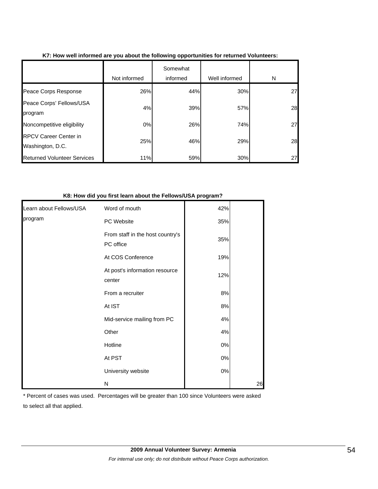|                                                  | Not informed | Somewhat<br>informed | Well informed | N  |
|--------------------------------------------------|--------------|----------------------|---------------|----|
| Peace Corps Response                             | 26%          | 44%                  | 30%           | 27 |
| Peace Corps' Fellows/USA<br>program              | 4%           | 39%                  | 57%           | 28 |
| Noncompetitive eligibility                       | 0%           | 26%                  | 74%           | 27 |
| <b>RPCV Career Center in</b><br>Washington, D.C. | 25%          | 46%                  | 29%           | 28 |
| <b>Returned Volunteer Services</b>               | 11%          | 59%                  | 30%           | 27 |

# **K7: How well informed are you about the following opportunities for returned Volunteers:**

#### **K8: How did you first learn about the Fellows/USA program?**

| Learn about Fellows/USA | Word of mouth                                 | 42%   |    |
|-------------------------|-----------------------------------------------|-------|----|
| program                 | PC Website                                    | 35%   |    |
|                         | From staff in the host country's<br>PC office | 35%   |    |
|                         | At COS Conference                             | 19%   |    |
|                         | At post's information resource<br>center      | 12%   |    |
|                         | From a recruiter                              | 8%    |    |
|                         | At IST                                        | 8%    |    |
|                         | Mid-service mailing from PC                   | 4%    |    |
|                         | Other                                         | 4%    |    |
|                         | Hotline                                       | $0\%$ |    |
|                         | At PST                                        | $0\%$ |    |
|                         | University website                            | $0\%$ |    |
|                         | N                                             |       | 26 |

\* Percent of cases was used. Percentages will be greater than 100 since Volunteers were asked

to select all that applied.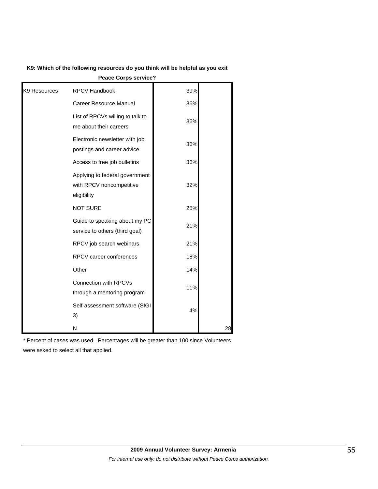| K9: Which of the following resources do you think will be helpful as you exit |  |
|-------------------------------------------------------------------------------|--|
|-------------------------------------------------------------------------------|--|

**Peace Corps service?**

| K <sub>9</sub> Resources | <b>RPCV Handbook</b>                                                      | 39% |    |
|--------------------------|---------------------------------------------------------------------------|-----|----|
|                          | <b>Career Resource Manual</b>                                             | 36% |    |
|                          | List of RPCVs willing to talk to<br>me about their careers                | 36% |    |
|                          | Electronic newsletter with job<br>postings and career advice              | 36% |    |
|                          | Access to free job bulletins                                              | 36% |    |
|                          | Applying to federal government<br>with RPCV noncompetitive<br>eligibility | 32% |    |
|                          | <b>NOT SURE</b>                                                           | 25% |    |
|                          | Guide to speaking about my PC<br>service to others (third goal)           | 21% |    |
|                          | RPCV job search webinars                                                  | 21% |    |
|                          | RPCV career conferences                                                   | 18% |    |
|                          | Other                                                                     | 14% |    |
|                          | Connection with RPCVs<br>through a mentoring program                      | 11% |    |
|                          | Self-assessment software (SIGI<br>3)                                      | 4%  |    |
|                          | N                                                                         |     | 28 |

\* Percent of cases was used. Percentages will be greater than 100 since Volunteers were asked to select all that applied.